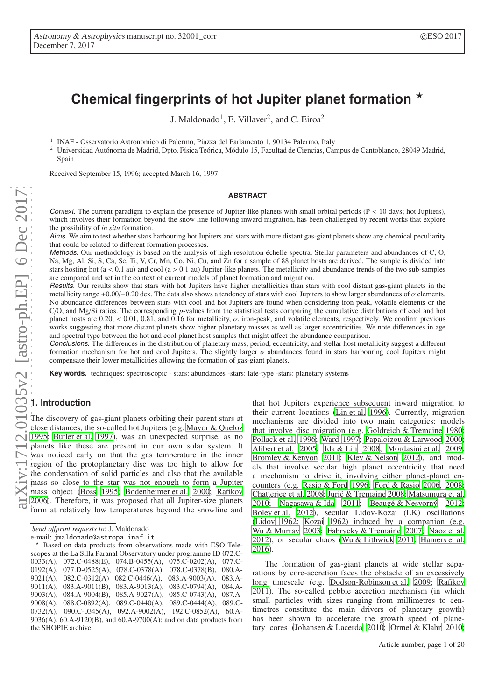# Chemical fingerprints of hot Jupiter planet formation  $\star$

J. Maldonado<sup>1</sup>, E. Villaver<sup>2</sup>, and C. Eiroa<sup>2</sup>

<sup>1</sup> INAF - Osservatorio Astronomico di Palermo, Piazza del Parlamento 1, 90134 Palermo, Italy

<sup>2</sup> Universidad Autónoma de Madrid, Dpto. Física Teórica, Módulo 15, Facultad de Ciencias, Campus de Cantoblanco, 28049 Madrid, Spain

Received September 15, 1996; accepted March 16, 1997

#### **ABSTRACT**

Context. The current paradigm to explain the presence of Jupiter-like planets with small orbital periods ( $P < 10$  days; hot Jupiters), which involves their formation beyond the snow line following inward migration, has been challenged by recent works that explore the possibility of *in situ* formation.

Aims. We aim to test whether stars harbouring hot Jupiters and stars with more distant gas-giant planets show any chemical peculiarity that could be related to different formation processes.

Methods. Our methodology is based on the analysis of high-resolution échelle spectra. Stellar parameters and abundances of C, O, Na, Mg, Al, Si, S, Ca, Sc, Ti, V, Cr, Mn, Co, Ni, Cu, and Zn for a sample of 88 planet hosts are derived. The sample is divided into stars hosting hot  $(a < 0.1$  au) and cool  $(a > 0.1$  au) Jupiter-like planets. The metallicity and abundance trends of the two sub-samples are compared and set in the context of current models of planet formation and migration.

Results. Our results show that stars with hot Jupiters have higher metallicities than stars with cool distant gas-giant planets in the metallicity range +0.00/+0.20 dex. The data also shows a tendency of stars with cool Jupiters to show larger abundances of  $\alpha$  elements. No abundance differences between stars with cool and hot Jupiters are found when considering iron peak, volatile elements or the C/O, and Mg/Si ratios. The corresponding *p*-values from the statistical tests comparing the cumulative distributions of cool and hot planet hosts are  $0.20$ ,  $0.01$ ,  $0.81$ , and  $0.16$  for metallicity,  $\alpha$ , iron-peak, and volatile elements, respectively. We confirm previous works suggesting that more distant planets show higher planetary masses as well as larger eccentricities. We note differences in age and spectral type between the hot and cool planet host samples that might affect the abundance comparison.

Conclusions. The differences in the distribution of planetary mass, period, eccentricity, and stellar host metallicity suggest a different formation mechanism for hot and cool Jupiters. The slightly larger  $\alpha$  abundances found in stars harbouring cool Jupiters might compensate their lower metallicities allowing the formation of gas-giant planets.

**Key words.** techniques: spectroscopic - stars: abundances -stars: late-type -stars: planetary systems

# <span id="page-0-0"></span>**1. Introduction**

The discovery of gas-giant planets orbiting their parent stars at close distances, the so-called hot Jupiters (e.g. [Mayor & Queloz](#page-11-0) [1995;](#page-11-0) [Butler et al. 1997\)](#page-10-0), was an unexpected surprise, as no planets like these are present in our own solar system. It was noticed early on that the gas temperature in the inner region of the protoplanetary disc was too high to allow for the condensation of solid particles and also that the available mass so close to the star was not enough to form a Jupiter mass object [\(Boss 1995;](#page-10-1) [Bodenheimer et al. 2000;](#page-10-2) [Rafikov](#page-11-1) [2006\)](#page-11-1). Therefore, it was proposed that all Jupiter-size planets form at relatively low temperatures beyond the snowline and

that hot Jupiters experience subsequent inward migration to their current locations [\(Lin et al. 1996](#page-11-2)). Currently, migration mechanisms are divided into two main categories: models that involve disc migration (e.g. [Goldreich & Tremaine 1980;](#page-10-3) [Pollack et al. 1996](#page-11-3); [Ward 1997;](#page-11-4) [Papaloizou & Larwood 2000;](#page-11-5) [Alibert et al. 2005;](#page-10-4) [Ida & Lin 2008](#page-11-6); [Mordasini et al. 2009;](#page-11-7) [Bromley & Kenyon 2011;](#page-10-5) [Kley & Nelson 2012](#page-11-8)), and models that involve secular high planet eccentricity that need a mechanism to drive it, involving either planet-planet encounters (e.g. [Rasio & Ford 1996;](#page-11-9) [Ford & Rasio 2006,](#page-10-6) [2008;](#page-10-7) [Chatterjee et al. 2008;](#page-10-8) [Juric & Tremaine 2008](#page-11-10); [Matsumura et al.](#page-11-11) ´ [2010;](#page-11-11) [Nagasawa & Ida 2011;](#page-11-12) [Beaugé & Nesvorný 2012;](#page-10-9) [Boley et al. 2012\)](#page-10-10), secular Lidov-Kozai (LK) oscillations [\(Lidov 1962;](#page-11-13) [Kozai 1962\)](#page-11-14) induced by a companion (e.g. [Wu & Murray 2003;](#page-11-15) [Fabrycky & Tremaine 2007](#page-10-11); [Naoz et al.](#page-11-16) [2012\)](#page-11-16), or secular chaos [\(Wu & Lithwick 2011](#page-11-17); [Hamers et al.](#page-10-12) [2016\)](#page-10-12).

The formation of gas-giant planets at wide stellar separations by core-accretion faces the obstacle of an excessively long timescale (e.g. [Dodson-Robinson et al. 2009;](#page-10-13) [Rafikov](#page-11-18) [2011\)](#page-11-18). The so-called pebble accretion mechanism (in which small particles with sizes ranging from millimetres to centimetres constitute the main drivers of planetary growth) has been shown to accelerate the growth speed of planetary cores [\(Johansen & Lacerda 2010](#page-11-19); [Ormel & Klahr 2010;](#page-11-20)

*Send o*ff*print requests to*: J. Maldonado

e-mail: jmaldonado@astropa.inaf.it

Based on data products from observations made with ESO Telescopes at the La Silla Paranal Observatory under programme ID 072.C-0033(A), 072.C-0488(E), 074.B-0455(A), 075.C-0202(A), 077.C-0192(A), 077.D-0525(A), 078.C-0378(A), 078.C-0378(B), 080.A-9021(A), 082.C-0312(A) 082.C-0446(A), 083.A-9003(A), 083.A-9011(A), 083.A-9011(B), 083.A-9013(A), 083.C-0794(A), 084.A-9003(A), 084.A-9004(B), 085.A-9027(A), 085.C-0743(A), 087.A-9008(A), 088.C-0892(A), 089.C-0440(A), 089.C-0444(A), 089.C-0732(A), 090.C-0345(A), 092.A-9002(A), 192.C-0852(A), 60.A-9036(A), 60.A-9120(B), and 60.A-9700(A); and on data products from the SHOPIE archive.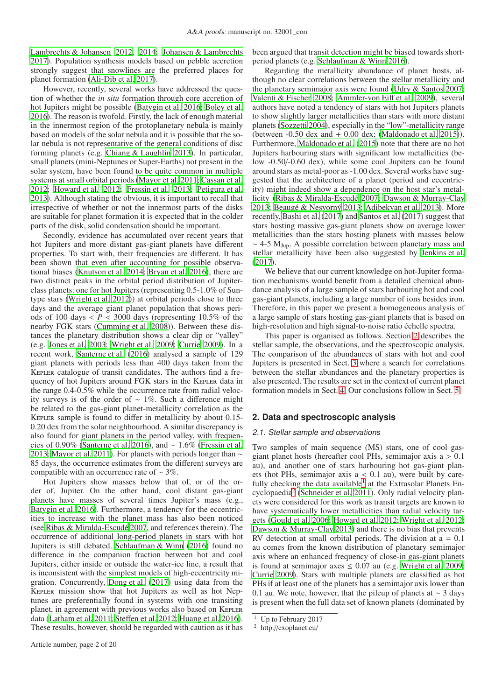[Lambrechts & Johansen 2012,](#page-11-21) [2014](#page-11-22); [Johansen & Lambrechts](#page-11-23) [2017\)](#page-11-23). Population synthesis models based on pebble accretion strongly suggest that snowlines are the preferred places for planet formation [\(Ali-Dib et al. 2017](#page-10-14)).

However, recently, several works have addressed the question of whether the *in situ* formation through core accretion of hot Jupiters might be possible [\(Batygin et al. 2016;](#page-10-15) [Boley et](#page-10-16) al. [2016\)](#page-10-16). The reason is twofold. Firstly, the lack of enough material in the innermost region of the protoplanetary nebula is mainly based on models of the solar nebula and it is possible that the solar nebula is not representative of the general conditions of disc forming planets (e.g. [Chiang & Laughlin 2013](#page-10-17)). In particular, small planets (mini-Neptunes or Super-Earths) not present in the solar system, have been found to be quite common in multiple systems at small orbital periods [\(Mayor et al. 2011;](#page-11-24) [Cassan et al.](#page-10-18) [2012;](#page-10-18) [Howard et al. 2012](#page-11-25); [Fressin et al. 2013;](#page-10-19) [Petigura et al.](#page-11-26) [2013\)](#page-11-26). Although stating the obvious, it is important to recall that irrespective of whether or not the innermost parts of the disks are suitable for planet formation it is expected that in the colder parts of the disk, solid condensation should be important.

Secondly, evidence has accumulated over recent years that hot Jupiters and more distant gas-giant planets have different properties. To start with, their frequencies are different. It has been shown that even after accounting for possible observational biases [\(Knutson et al. 2014;](#page-11-27) [Bryan et al. 2016\)](#page-10-20), there are two distinct peaks in the orbital period distribution of Jupiterclass planets: one for hot Jupiters (representing 0.5-1.0% of Suntype stars [\(Wright et al. 2012\)](#page-11-28)) at orbital periods close to three days and the average giant planet population that shows periods of 100 days  $\langle P \rangle$  = 3000 days (representing 10.5% of the nearby FGK stars [\(Cumming et al. 2008\)](#page-10-21)). Between these distances the planetary distribution shows a clear dip or "valley" (e.g. [Jones et al. 2003;](#page-11-29) [Wright et al. 2009](#page-11-30); [Currie 2009\)](#page-10-22). In a recent work, [Santerne et al.](#page-11-31) [\(2016\)](#page-11-31) analysed a sample of 129 giant planets with periods less than 400 days taken from the Kepler catalogue of transit candidates. The authors find a frequency of hot Jupiters around FGK stars in the KEPLER data in the range 0.4-0.5% while the occurrence rate from radial velocity surveys is of the order of ∼ 1%. Such a difference might be related to the gas-giant planet-metallicity correlation as the Kepler sample is found to differ in metallicity by about 0.15- 0.20 dex from the solar neighbourhood. A similar discrepancy is also found for giant planets in the period valley, with frequencies of 0.90% [\(Santerne et al. 2016\)](#page-11-31), and ∼ 1.6% [\(Fressin et al.](#page-10-19) [2013;](#page-10-19) [Mayor et al. 2011\)](#page-11-24). For planets with periods longer than ∼ 85 days, the occurrence estimates from the different surveys are compatible with an occurrence rate of ∼ 3%.

Hot Jupiters show masses below that of, or of the order of, Jupiter. On the other hand, cool distant gas-giant planets have masses of several times Jupiter's mass (e.g., [Batygin et al. 2016](#page-10-15)). Furthermore, a tendency for the eccentricities to increase with the planet mass has also been noticed (see [Ribas & Miralda-Escudé 2007,](#page-11-32) and references therein). The occurrence of additional long-period planets in stars with hot Jupiters is still debated. [Schlaufman & Winn](#page-11-33) [\(2016\)](#page-11-33) found no difference in the companion fraction between hot and cool Jupiters, either inside or outside the water-ice line, a result that is inconsistent with the simplest models of high-eccentricity migration. Concurrently, [Dong et al. \(2017\)](#page-10-23) using data from the Kepler mission show that hot Jupiters as well as hot Neptunes are preferentially found in systems with one transiting planet, in agreement with previous works also based on KEPLER data [\(Latham et al. 2011;](#page-11-34) Steff[en et al. 2012;](#page-11-35) [Huang et al. 2016](#page-11-36)). These results, however, should be regarded with caution as it has been argued that transit detection might be biased towards shortperiod planets (e.g. [Schlaufman & Winn 2016\)](#page-11-33).

Regarding the metallicity abundance of planet hosts, although no clear correlations between the stellar metallicity and the planetary semimajor axis were found [\(Udry & Santos 2007;](#page-11-37) [Valenti & Fischer 2008](#page-11-38); [Ammler-von Ei](#page-10-24)ff et al. [2009](#page-10-24)), several authors have noted a tendency of stars with hot Jupiters planets to show slightly larger metallicities than stars with more distant planets [\(Sozzetti 2004\)](#page-11-39), especially in the "low"-metallicity range (between  $-0.50$  dex and  $+0.00$  dex; [\(Maldonado et al. 2015](#page-11-40))). Furthermore, [Maldonado et al.](#page-11-40) [\(2015\)](#page-11-40) note that there are no hot Jupiters harbouring stars with significant low metallicities (below -0.50/-0.60 dex), while some cool Jupiters can be found around stars as metal-poor as -1.00 dex. Several works have suggested that the architecture of a planet (period and eccentricity) might indeed show a dependence on the host star's metallicity [\(Ribas & Miralda-Escudé 2007;](#page-11-32) [Dawson & Murray-Clay](#page-10-25) [2013;](#page-10-25) [Beaugé & Nesvorný 2013;](#page-10-26) [Adibekyan et al. 2013\)](#page-10-27). More recently, [Bashi et al.](#page-10-28) [\(2017\)](#page-10-28) and [Santos et al. \(2017\)](#page-11-41) suggest that stars hosting massive gas-giant planets show on average lower metallicities than the stars hosting planets with masses below  $\sim$  4-5 M<sub>Iup</sub>. A possible correlation between planetary mass and stellar metallicity have been also suggested by [Jenkins et al.](#page-11-42) [\(2017\)](#page-11-42).

We believe that our current knowledge on hot-Jupiter formation mechanisms would benefit from a detailed chemical abundance analysis of a large sample of stars harbouring hot and cool gas-giant planets, including a large number of ions besides iron. Therefore, in this paper we present a homogeneous analysis of a large sample of stars hosting gas-giant planets that is based on high-resolution and high signal-to-noise ratio échelle spectra.

This paper is organised as follows. Section [2](#page-1-0) describes the stellar sample, the observations, and the spectroscopic analysis. The comparison of the abundances of stars with hot and cool Jupiters is presented in Sect. [3](#page-3-0) where a search for correlations between the stellar abundances and the planetary properties is also presented. The results are set in the context of current planet formation models in Sect. [4.](#page-8-0) Our conclusions follow in Sect. [5.](#page-10-29)

#### <span id="page-1-0"></span>**2. Data and spectroscopic analysis**

#### 2.1. Stellar sample and observations

Two samples of main sequence (MS) stars, one of cool gasgiant planet hosts (hereafter cool PHs, semimajor axis  $a > 0.1$ au), and another one of stars harbouring hot gas-giant planets (hot PHs, semimajor axis  $a < 0.1$  au), were built by care-fully checking the data available<sup>[1](#page-1-1)</sup> at the Extrasolar Planets Encyclopaedia[2](#page-1-2) [\(Schneider et al. 2011\)](#page-11-43). Only radial velocity planets were considered for this work as transit targets are known to have systematically lower metallicities than radial velocity targets [\(Gould et al. 2006](#page-10-30); [Howard et al. 2012](#page-11-25); [Wright et al. 2012;](#page-11-28) [Dawson & Murray-Clay 2013\)](#page-10-25) and there is no bias that prevents RV detection at small orbital periods. The division at  $a = 0.1$ au comes from the known distribution of planetary semimajor axis where an enhanced frequency of close-in gas-giant planets is found at semimajor axes  $\leq 0.07$  au (e.g. [Wright et al. 2009;](#page-11-30) [Currie 2009\)](#page-10-22). Stars with multiple planets are classified as hot PHs if at least one of the planets has a semimajor axis lower than 0.1 au. We note, however, that the pileup of planets at  $\sim$  3 days is present when the full data set of known planets (dominated by

<sup>&</sup>lt;sup>1</sup> Up to February 2017

<span id="page-1-2"></span><span id="page-1-1"></span><sup>2</sup> http://exoplanet.eu/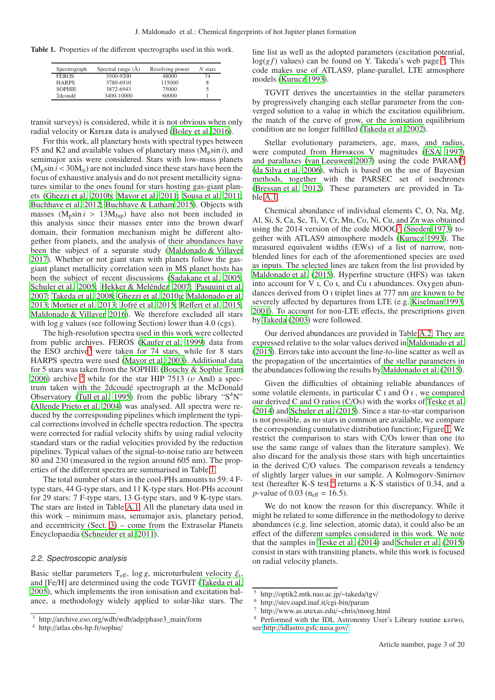Table 1. Properties of the different spectrographs used in this work.

<span id="page-2-2"></span>

| Spectrograph  | Spectral range $(\AA)$ | Resolving power | $N$ stars |
|---------------|------------------------|-----------------|-----------|
| <b>FEROS</b>  | 3500-9200              | 48000           | 74        |
| <b>HARPS</b>  | 3780-6910              | 115000          | 8         |
| <b>SOPHIE</b> | 3872-6943              | 75000           |           |
| 2dcoudé       | 3400-10000             | 60000           |           |

transit surveys) is considered, while it is not obvious when only radial velocity or Kepler data is analysed [\(Boley et al. 2016\)](#page-10-16).

For this work, all planetary hosts with spectral types between F5 and K2 and available values of planetary mass  $(M_p \sin i)$ , and semimajor axis were considered. Stars with low-mass planets  $(M_p \sin i < 30 M_\oplus)$  are not included since these stars have been the focus of exhaustive analysis and do not present metallicity signatures similar to the ones found for stars hosting gas-giant planets [\(Ghezzi et al. 2010b](#page-10-31); [Mayor et al. 2011](#page-11-24); [Sousa et al. 2011](#page-11-44); [Buchhave et al. 2012](#page-10-32); [Buchhave & Latham 2015](#page-10-33)). Objects with masses  $(M_p \sin i > 13 M_{Jup})$  have also not been included in this analysis since their masses enter into the brown dwarf domain, their formation mechanism might be different altogether from planets, and the analysis of their abundances have been the subject of a separate study [\(Maldonado & Villaver](#page-11-45) [2017\)](#page-11-45). Whether or not giant stars with planets follow the gasgiant planet metallicity correlation seen in MS planet hosts has been the subject of recent discussions [\(Sadakane et al. 2005](#page-11-46); [Schuler et al. 2005](#page-11-47); [Hekker & Meléndez 2007](#page-11-48); [Pasquini et al.](#page-11-49) [2007;](#page-11-49) [Takeda et al. 2008;](#page-11-50) [Ghezzi et al. 2010a](#page-10-34); [Maldonado et al.](#page-11-51) [2013;](#page-11-51) [Mortier et al. 2013;](#page-11-52) [Jofré et al. 2015](#page-11-53); Reff[ert et al. 2015](#page-11-54); [Maldonado & Villaver 2016\)](#page-11-55). We therefore excluded all stars with  $\log g$  values (see following Section) lower than 4.0 (cgs).

The high-resolution spectra used in this work were collected from public archives. FEROS [\(Kaufer et al. 1999](#page-11-56)) data from the ESO archive<sup>[3](#page-2-0)</sup> were taken for 74 stars, while for 8 stars HARPS spectra were used [\(Mayor et al. 2003](#page-11-57)). Additional data for 5 stars was taken from the SOPHIE [\(Bouchy & Sophie Team](#page-10-35) [2006\)](#page-10-35) archive  $4\overline{ }$  $4\overline{ }$  while for the star HIP 7513 ( $\overline{ }$  And) a spectrum taken with the 2dcoudé spectrograph at the McDonald Observatory [\(Tull et al. 1995\)](#page-11-58) from the public library " $S^4N$ " [\(Allende Prieto et al. 2004\)](#page-10-36) was analysed. All spectra were reduced by the corresponding pipelines which implement the typical corrections involved in échelle spectra reduction. The spectra were corrected for radial velocity shifts by using radial velocity standard stars or the radial velocities provided by the reduction pipelines. Typical values of the signal-to-noise ratio are between 80 and 230 (measured in the region around 605 nm). The properties of the different spectra are summarised in Table [1.](#page-2-2)

The total number of stars in the cool-PHs amounts to 59: 4 Ftype stars, 44 G-type stars, and 11 K-type stars. Hot-PHs account for 29 stars: 7 F-type stars, 13 G-type stars, and 9 K-type stars. The stars are listed in Table [A.1.](#page-13-0) All the planetary data used in this work – minimum mass, semimajor axis, planetary period, and eccentricity (Sect.  $3$ ) – come from the Extrasolar Planets Encyclopaedia [\(Schneider et al. 2011\)](#page-11-43).

# 2.2. Spectroscopic analysis

Basic stellar parameters  $T_{\text{eff}}$ , log *g*, microturbulent velocity  $\xi_t$ , and [Fe/H] are determined using the code TGVIT [\(Takeda et al.](#page-11-59) [2005\)](#page-11-59), which implements the iron ionisation and excitation balance, a methodology widely applied to solar-like stars. The line list as well as the adopted parameters (excitation potential,  $log(gf)$  values) can be found on Y. Takeda's web page  $5$ . This code makes use of ATLAS9, plane-parallel, LTE atmosphere models [\(Kurucz 1993\)](#page-11-60).

TGVIT derives the uncertainties in the stellar parameters by progressively changing each stellar parameter from the converged solution to a value in which the excitation equilibrium, the match of the curve of grow, or the ionisation equilibrium condition are no longer fulfilled [\(Takeda et al. 2002\)](#page-11-61).

Stellar evolutionary parameters, age, mass, and radius, were computed from Hipparcos V magnitudes [\(ESA 1997](#page-10-37)) and parallaxes [\(van Leeuwen 2007\)](#page-11-62) using the code PARAM[6](#page-2-4) [\(da Silva et al. 2006\)](#page-10-38), which is based on the use of Bayesian methods, together with the PARSEC set of isochrones [\(Bressan et al. 2012](#page-10-39)). These parameters are provided in Table [A.1.](#page-13-0)

Chemical abundance of individual elements C, O, Na, Mg, Al, Si, S, Ca, Sc, Ti, V, Cr, Mn, Co, Ni, Cu, and Zn was obtained using the 2014 version of the code  $MOOG^7$  $MOOG^7$  [\(Sneden 1973\)](#page-11-63) together with ATLAS9 atmosphere models [\(Kurucz 1993](#page-11-60)). The measured equivalent widths (EWs) of a list of narrow, nonblended lines for each of the aforementioned species are used as inputs. The selected lines are taken from the list provided by [Maldonado et al.](#page-11-40) [\(2015\)](#page-11-40). Hyperfine structure (HFS) was taken into account for V i, Co i, and Cu i abundances. Oxygen abundances derived from O i triplet lines at 777 nm are known to be severely affected by departures from LTE (e.g. [Kiselman 1993,](#page-11-64) [2001\)](#page-11-65). To account for non-LTE effects, the prescriptions given by [Takeda \(2003\)](#page-11-66) were followed.

Our derived abundances are provided in Table [A.2.](#page-16-0) They are expressed relative to the solar values derived in [Maldonado](#page-11-40) et al. [\(2015\)](#page-11-40). Errors take into account the line-to-line scatter as well as the propagation of the uncertainties of the stellar parameters in the abundances following the results by [Maldonado et al.](#page-11-40) [\(2015\)](#page-11-40).

Given the difficulties of obtaining reliable abundances of some volatile elements, in particular C i and O i , we compared our derived C and O ratios (C/Os) with the works of [Teske et al.](#page-11-67) [\(2014\)](#page-11-67) and [Schuler et al. \(2015\)](#page-11-68). Since a star-to-star comparison is not possible, as no stars in common are available, we compare the corresponding cumulative distribution function; Figure [1.](#page-3-1) We restrict the comparison to stars with C/Os lower than one (to use the same range of values than the literature samples). We also discard for the analysis those stars with high uncertainties in the derived C/O values. The comparison reveals a tendency of slightly larger values in our sample. A Kolmogorv-Smirnov test (hereafter K-S test)<sup>[8](#page-2-6)</sup> returns a  $K-S$  statistics of 0.34, and a *p*-value of 0.03 ( $n_{\text{eff}} = 16.5$ ).

We do not know the reason for this discrepancy. While it might be related to some difference in the methodology to derive abundances (e.g. line selection, atomic data), it could also be an effect of the different samples considered in this work. We note that the samples in [Teske et al. \(2014](#page-11-67)) and [Schuler et al. \(2015](#page-11-68)) consist in stars with transiting planets, while this work is focused on radial velocity planets.

<sup>3</sup> http://archive.eso.org/wdb/wdb/adp/phase3\_main/form

<span id="page-2-1"></span><span id="page-2-0"></span><sup>4</sup> http://atlas.obs-hp.fr/sophie/

 $^5$  http://optik2.mtk.nao.ac.jp/~takeda/tgv/

<span id="page-2-3"></span><sup>6</sup> http://stev.oapd.inaf.it/cgi-bin/param

<span id="page-2-4"></span><sup>7</sup> http://www.as.utexas.edu/~chris/moog.html

<span id="page-2-6"></span><span id="page-2-5"></span><sup>&</sup>lt;sup>8</sup> Performed with the IDL Astronomy User's Library routine ksrwo, see http://[idlastro.gsfc.nasa.gov](http://idlastro.gsfc.nasa.gov/)/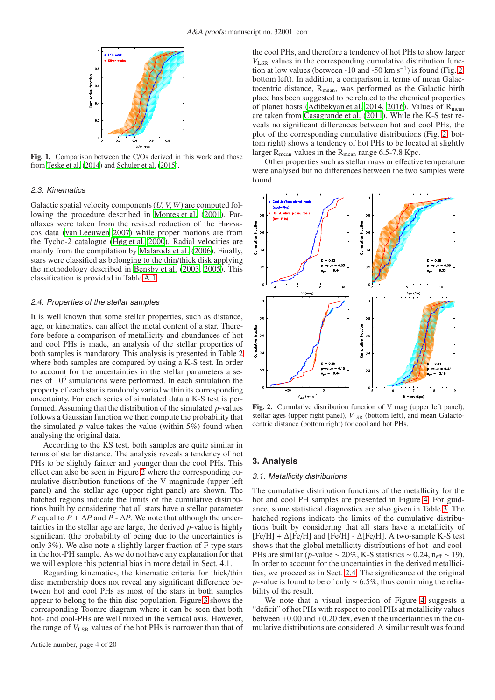

<span id="page-3-1"></span>Fig. 1. Comparison between the C/Os derived in this work and those from [Teske et al. \(2014](#page-11-67)) and [Schuler et al.](#page-11-68) [\(2015](#page-11-68)).

#### 2.3. Kinematics

Galactic spatial velocity components (*U*, *V*, *W*) are computed following the procedure described in [Montes et al. \(2001\)](#page-11-69). Parallaxes were taken from the revised reduction of the Hipparcos data [\(van Leeuwen 2007\)](#page-11-62) while proper motions are from the Tycho-2 catalogue [\(Høg et al. 2000](#page-11-70)). Radial velocities are mainly from the compilation by [Malaroda et al. \(2006\)](#page-11-71). Finally, stars were classified as belonging to the thin/thick disk applying the methodology described in [Bensby et al. \(2003,](#page-10-40) [2005](#page-10-41)). This classification is provided in Table [A.1.](#page-13-0)

#### <span id="page-3-3"></span>2.4. Properties of the stellar samples

It is well known that some stellar properties, such as distance, age, or kinematics, can affect the metal content of a star. Therefore before a comparison of metallicity and abundances of hot and cool PHs is made, an analysis of the stellar properties of both samples is mandatory. This analysis is presented in Table [2](#page-4-0) where both samples are compared by using a K-S test. In order to account for the uncertainties in the stellar parameters a series of 10<sup>6</sup> simulations were performed. In each simulation the property of each star is randomly varied within its corresponding uncertainty. For each series of simulated data a K-S test is performed. Assuming that the distribution of the simulated *p*-values follows a Gaussian function we then compute the probability that the simulated *p*-value takes the value (within 5%) found when analysing the original data.

According to the KS test, both samples are quite similar in terms of stellar distance. The analysis reveals a tendency of hot PHs to be slightly fainter and younger than the cool PHs. This effect can also be seen in Figure [2](#page-3-2) where the corresponding cumulative distribution functions of the V magnitude (upper left panel) and the stellar age (upper right panel) are shown. The hatched regions indicate the limits of the cumulative distributions built by considering that all stars have a stellar parameter *P* equal to  $P + \Delta P$  and  $P - \Delta P$ . We note that although the uncertainties in the stellar age are large, the derived *p*-value is highly significant (the probability of being due to the uncertainties is only 3%). We also note a slightly larger fraction of F-type stars in the hot-PH sample. As we do not have any explanation for that we will explore this potential bias in more detail in Sect. [4.1.](#page-8-1)

Regarding kinematics, the kinematic criteria for thick/thin disc membership does not reveal any significant difference between hot and cool PHs as most of the stars in both samples appear to belong to the thin disc population. Figure [3](#page-4-1) shows the corresponding Toomre diagram where it can be seen that both hot- and cool-PHs are well mixed in the vertical axis. However, the range of *V*LSR values of the hot PHs is narrower than that of

the cool PHs, and therefore a tendency of hot PHs to show larger *V*LSR values in the corresponding cumulative distribution func-tion at low values (between -10 and -50 km s<sup>-1</sup>) is found (Fig. [2,](#page-3-2) bottom left). In addition, a comparison in terms of mean Galactocentric distance, R<sub>mean</sub>, was performed as the Galactic birth place has been suggested to be related to the chemical properties of planet hosts [\(Adibekyan et al. 2014](#page-10-42), [2016](#page-10-43)). Values of  $R_{mean}$ are taken from [Casagrande et al. \(2011\)](#page-10-44). While the K-S test reveals no significant differences between hot and cool PHs, the plot of the corresponding cumulative distributions (Fig. [2,](#page-3-2) bottom right) shows a tendency of hot PHs to be located at slightly larger  $R_{mean}$  values in the  $R_{mean}$  range 6.5-7.8 Kpc.

Other properties such as stellar mass or effective temperature were analysed but no differences between the two samples were found.



<span id="page-3-2"></span>Fig. 2. Cumulative distribution function of V mag (upper left panel), stellar ages (upper right panel),  $V_{LSR}$  (bottom left), and mean Galactocentric distance (bottom right) for cool and hot PHs.

#### <span id="page-3-0"></span>**3. Analysis**

#### <span id="page-3-4"></span>3.1. Metallicity distributions

The cumulative distribution functions of the metallicity for the hot and cool PH samples are presented in Figure [4.](#page-4-2) For guidance, some statistical diagnostics are also given in Table [3.](#page-4-3) The hatched regions indicate the limits of the cumulative distributions built by considering that all stars have a metallicity of  $[Fe/H] + \Delta [Fe/H]$  and  $[Fe/H] - \Delta [Fe/H]$ . A two-sample K-S test shows that the global metallicity distributions of hot- and cool-PHs are similar (*p*-value ~ 20%, K-S statistics ~ 0.24, n<sub>eff</sub> ~ 19). In order to account for the uncertainties in the derived metallicities, we proceed as in Sect. [2.4.](#page-3-3) The significance of the original *p*-value is found to be of only ~ 6.5%, thus confirming the reliability of the result.

We note that a visual inspection of Figure [4](#page-4-2) suggests a "deficit" of hot PHs with respect to cool PHs at metallicity values between +0.00 and +0.20 dex, even if the uncertainties in the cumulative distributions are considered. A similar result was found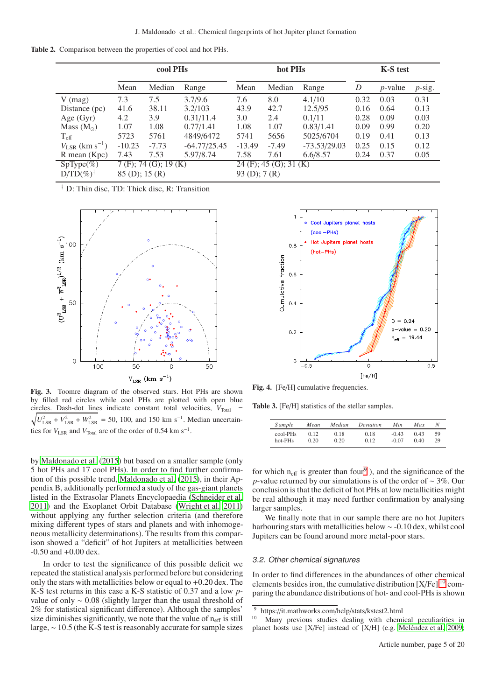Table 2. Comparison between the properties of cool and hot PHs.

<span id="page-4-0"></span>

|                                 |                           | cool PH <sub>s</sub>    |                |                 | hot PHs                  |                | <b>K-S</b> test |            |           |  |  |
|---------------------------------|---------------------------|-------------------------|----------------|-----------------|--------------------------|----------------|-----------------|------------|-----------|--|--|
|                                 | Mean                      | Median                  | Range          | Mean            | Median                   | Range          | D               | $p$ -value | $p$ -sig. |  |  |
| $V$ (mag)                       | 7.3                       | 7.5                     | 3.7/9.6        | 7.6             | 8.0                      | 4.1/10         | 0.32            | 0.03       | 0.31      |  |  |
| Distance (pc)                   | 41.6                      | 38.11                   | 3.2/103        | 43.9            | 42.7                     | 12.5/95        | 0.16            | 0.64       | 0.13      |  |  |
| Age $(Gyr)$                     | 4.2                       | 3.9                     | 0.31/11.4      | 3.0             | 2.4                      | 0.1/11         | 0.28            | 0.09       | 0.03      |  |  |
| Mass $(M_{\odot})$              | 1.07                      | 1.08<br>0.77/1.41       |                | 1.08            | 1.07                     | 0.83/1.41      | 0.09            | 0.99       | 0.20      |  |  |
| $T_{\rm eff}$                   | 5723                      | 5761                    | 4849/6472      | 5741            | 5656                     | 5025/6704      | 0.19            | 0.41       | 0.13      |  |  |
| $V_{LSR}$ (km s <sup>-1</sup> ) | $-10.23$                  | $-7.73$                 | $-64.77/25.45$ | $-13.49$        | $-7.49$                  | $-73.53/29.03$ | 0.25            | 0.15       | 0.12      |  |  |
| $R$ mean $(Kpc)$                | 5.97/8.74<br>7.53<br>7.43 |                         |                | 7.58            | 7.61                     | 6.6/8.57       | 0.24            | 0.37       | 0.05      |  |  |
| $SpType(\%)$                    |                           | $7(F)$ ; 74 (G); 19 (K) |                |                 | $24$ (F); 45 (G); 31 (K) |                |                 |            |           |  |  |
| $D/TD(\%)^{\dagger}$            | $85$ (D); 15 (R)          |                         |                | $93$ (D); 7 (R) |                          |                |                 |            |           |  |  |

† D: Thin disc, TD: Thick disc, R: Transition



<span id="page-4-1"></span>Fig. 3. Toomre diagram of the observed stars. Hot PHs are shown by filled red circles while cool PHs are plotted with open blue  $\sqrt{U_{\text{LSR}}^2 + V_{\text{LSR}}^2 + W_{\text{LSR}}^2}$  = 50, 100, and 150 km s<sup>-1</sup>. Median uncertaincircles. Dash-dot lines indicate constant total velocities,  $V_{\text{Total}}$  = ties for  $V_{LSR}$  and  $V_{Total}$  are of the order of 0.54 km s<sup>-1</sup>.

by [Maldonado et al.](#page-11-40) [\(2015\)](#page-11-40) but based on a smaller sample (only 5 hot PHs and 17 cool PHs). In order to find further confirmation of this possible trend, [Maldonado et al. \(2015\)](#page-11-40), in their Appendix B, additionally performed a study of the gas-giant planets listed in the Extrasolar Planets Encyclopaedia [\(Schneider](#page-11-43) et al. [2011\)](#page-11-43) and the Exoplanet Orbit Database [\(Wright et al. 2011\)](#page-11-72) without applying any further selection criteria (and therefore mixing different types of stars and planets and with inhomogeneous metallicity determinations). The results from this comparison showed a "deficit" of hot Jupiters at metallicities between  $-0.50$  and  $+0.00$  dex.

In order to test the significance of this possible deficit we repeated the statistical analysis performed before but considering only the stars with metallicities below or equal to +0.20 dex. The K-S test returns in this case a K-S statistic of 0.37 and a low *p*value of only ∼ 0.08 (slightly larger than the usual threshold of 2% for statistical significant difference). Although the samples' size diminishes significantly, we note that the value of  $n_{\text{eff}}$  is still large, ∼ 10.5 (the K-S test is reasonably accurate for sample sizes



<span id="page-4-2"></span>Fig. 4. [Fe/H] cumulative frequencies.

Table 3. [Fe/H] statistics of the stellar samples.

<span id="page-4-3"></span>

| <i>Sample</i> | Mean | Median | Deviation | Min.    | Max  | Ν  |
|---------------|------|--------|-----------|---------|------|----|
| cool-PHs      | 0.12 | 0.18   | 0.18      | $-0.43$ | 0.43 | 59 |
| hot-PHs       | 0.20 | 0.20   | 0.12      | $-0.07$ | 0.40 | 29 |

for which  $n_{\text{eff}}$  is greater than four<sup>[9](#page-4-4)</sup>), and the significance of the *p*-value returned by our simulations is of the order of ~ 3%. Our conclusion is that the deficit of hot PHs at low metallicities might be real although it may need further confirmation by analysing larger samples.

We finally note that in our sample there are no hot Jupiters harbouring stars with metallicities below ∼ -0.10 dex, whilst cool Jupiters can be found around more metal-poor stars.

# <span id="page-4-6"></span>3.2. Other chemical signatures

In order to find differences in the abundances of other chemical elements besides iron, the cumulative distribution  $[X/Fe]$ <sup>[10](#page-4-5)</sup> comparing the abundance distributions of hot- and cool-PHs is shown

<sup>&</sup>lt;sup>9</sup> https://it.mathworks.com/help/stats/kstest2.html<br><sup>10</sup> Many previous studies dealing with chami

<span id="page-4-5"></span><span id="page-4-4"></span>Many previous studies dealing with chemical peculiarities in planet hosts use [X/Fe] instead of [X/H] (e.g. [Meléndez et al. 2009;](#page-11-73)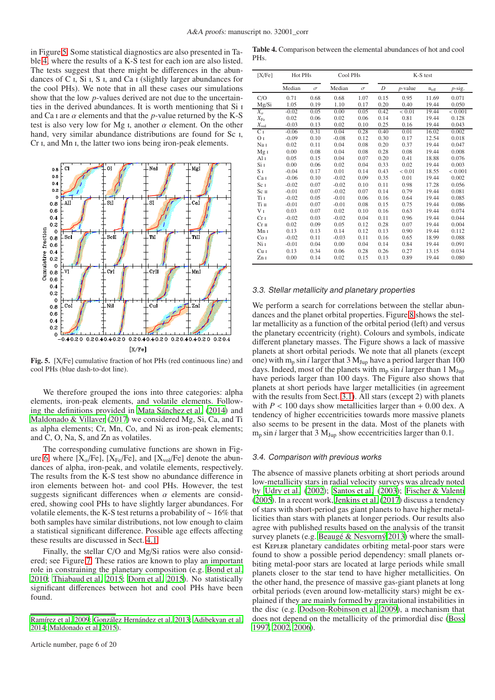in Figure [5.](#page-5-0) Some statistical diagnostics are also presented in Table [4,](#page-5-1) where the results of a K-S test for each ion are also listed. The tests suggest that there might be differences in the abundances of C i, Si i, S i, and Ca i (slightly larger abundances for the cool PHs). We note that in all these cases our simulations show that the low *p*-values derived are not due to the uncertainties in the derived abundances. It is worth mentioning that Si i and Ca I are  $\alpha$  elements and that the *p*-value returned by the K-S test is also very low for Mg I, another  $\alpha$  element. On the other hand, very similar abundance distributions are found for Sc I, Cr i, and Mn i, the latter two ions being iron-peak elements.



<span id="page-5-0"></span>Fig. 5. [X/Fe] cumulative fraction of hot PHs (red continuous line) and cool PHs (blue dash-to-dot line).

We therefore grouped the ions into three categories: alpha elements, iron-peak elements, and volatile elements. Following the definitions provided in [Mata Sánchez et al.](#page-11-74) [\(2014\)](#page-11-74) and [Maldonado & Villaver](#page-11-45) [\(2017\)](#page-11-45) we considered Mg, Si, Ca, and Ti as alpha elements; Cr, Mn, Co, and Ni as iron-peak elements; and C, O, Na, S, and Zn as volatiles.

The corresponding cumulative functions are shown in Fig-ure [6,](#page-6-0) where  $[X_{\alpha}/Fe]$ ,  $[X_{Fe}/Fe]$ , and  $[X_{vol}/Fe]$  denote the abundances of alpha, iron-peak, and volatile elements, respectively. The results from the K-S test show no abundance difference in iron elements between hot- and cool PHs. However, the test suggests significant differences when  $\alpha$  elements are considered, showing cool PHs to have slightly larger abundances. For volatile elements, the K-S test returns a probability of ∼ 16% that both samples have similar distributions, not low enough to claim a statistical significant difference. Possible age effects affecting these results are discussed in Sect. [4.1.](#page-8-1)

Finally, the stellar C/O and Mg/Si ratios were also considered; see Figure [7.](#page-6-1) These ratios are known to play an important role in constraining the planetary composition (e.g. [Bond et al.](#page-10-45) [2010;](#page-10-45) [Thiabaud et al. 2015](#page-11-75); [Dorn et al. 2015\)](#page-10-46). No statistically significant differences between hot and cool PHs have been found.

<span id="page-5-1"></span>

| Table 4. Comparison between the elemental abundances of hot and cool |  |
|----------------------------------------------------------------------|--|
| PHs.                                                                 |  |

| [X/Fe]           | Hot PHs |          | Cool PHs |          |      |               | K-S test      |             |
|------------------|---------|----------|----------|----------|------|---------------|---------------|-------------|
|                  | Median  | $\sigma$ | Median   | $\sigma$ | D    | $p$ -value    | $n_{\rm eff}$ | p-sig.      |
| C/O              | 0.71    | 0.68     | 0.68     | 1.07     | 0.15 | 0.95          | 11.69         | 0.071       |
| Mg/Si            | 1.05    | 0.19     | 1.10     | 0.17     | 0.20 | 0.40          | 19.44         | 0.050       |
| $X_{\alpha}$     | $-0.02$ | 0.05     | 0.00     | 0.05     | 0.42 | ${}_{0.01}$   | 19.44         | ${}< 0.001$ |
| $X_{\rm Fe}$     | 0.02    | 0.06     | 0.02     | 0.06     | 0.14 | 0.81          | 19.44         | 0.128       |
| $X_{\rm vol}$    | $-0.03$ | 0.13     | 0.02     | 0.10     | 0.25 | 0.16          | 19.44         | 0.043       |
| $C_{I}$          | $-0.06$ | 0.31     | 0.04     | 0.28     | 0.40 | 0.01          | 16.02         | 0.002       |
| O <sub>I</sub>   | $-0.09$ | 0.10     | $-0.08$  | 0.12     | 0.30 | 0.17          | 12.54         | 0.018       |
| Na I             | 0.02    | 0.11     | 0.04     | 0.08     | 0.20 | 0.37          | 19.44         | 0.047       |
| Mg <sub>I</sub>  | 0.00    | 0.08     | 0.04     | 0.08     | 0.28 | 0.08          | 19.44         | 0.008       |
| Al i             | 0.05    | 0.15     | 0.04     | 0.07     | 0.20 | 0.41          | 18.88         | 0.076       |
| Si 1             | 0.00    | 0.06     | 0.02     | 0.04     | 0.33 | 0.02          | 19.44         | 0.003       |
| S <sub>I</sub>   | $-0.04$ | 0.17     | 0.01     | 0.14     | 0.43 | ${}_{< 0.01}$ | 18.55         | < 0.001     |
| Ca I             | $-0.06$ | 0.10     | $-0.02$  | 0.09     | 0.35 | 0.01          | 19.44         | 0.002       |
| Sc <sub>I</sub>  | $-0.02$ | 0.07     | $-0.02$  | 0.10     | 0.11 | 0.98          | 17.28         | 0.056       |
| Sc <sub>II</sub> | $-0.01$ | 0.07     | $-0.02$  | 0.07     | 0.14 | 0.79          | 19.44         | 0.081       |
| Ti I             | $-0.02$ | 0.05     | $-0.01$  | 0.06     | 0.16 | 0.64          | 19.44         | 0.085       |
| Tiп              | $-0.01$ | 0.07     | $-0.01$  | 0.08     | 0.15 | 0.75          | 19.44         | 0.086       |
| V I              | 0.03    | 0.07     | 0.02     | 0.10     | 0.16 | 0.63          | 19.44         | 0.074       |
| Cr <sub>I</sub>  | $-0.02$ | 0.03     | $-0.02$  | 0.04     | 0.11 | 0.96          | 19.44         | 0.044       |
| Cr <sub>II</sub> | 0.02    | 0.09     | 0.05     | 0.12     | 0.28 | 0.07          | 19.44         | 0.004       |
| Mn 1             | 0.13    | 0.13     | 0.14     | 0.12     | 0.13 | 0.90          | 19.44         | 0.112       |
| Co <sub>I</sub>  | $-0.02$ | 0.11     | $-0.03$  | 0.11     | 0.16 | 0.65          | 18.99         | 0.088       |
| Ni 1             | $-0.01$ | 0.04     | 0.00     | 0.04     | 0.14 | 0.84          | 19.44         | 0.091       |
| Cu I             | 0.13    | 0.34     | 0.06     | 0.28     | 0.26 | 0.27          | 13.15         | 0.034       |
| ZnI              | 0.00    | 0.14     | 0.02     | 0.15     | 0.13 | 0.89          | 19.44         | 0.080       |

#### 3.3. Stellar metallicity and planetary properties

We perform a search for correlations between the stellar abundances and the planet orbital properties. Figure [8](#page-7-0) shows the stellar metallicity as a function of the orbital period (left) and versus the planetary eccentricity (right). Colours and symbols, indicate different planetary masses. The Figure shows a lack of massive planets at short orbital periods. We note that all planets (except one) with  $m_p \sin i$  larger that 3  $M_{Jup}$  have a period larger than 100 days. Indeed, most of the planets with  $m_p \sin i$  larger than 1  $M_{Jup}$ have periods larger than 100 days. The Figure also shows that planets at short periods have larger metallicities (in agreement with the results from Sect. [3.1\)](#page-3-4). All stars (except 2) with planets with  $P < 100$  days show metallicities larger than  $+ 0.00$  dex. A tendency of higher eccentricities towards more massive planets also seems to be present in the data. Most of the planets with  $m_p \sin i$  larger that 3  $M_{Jup}$  show eccentricities larger than 0.1.

#### 3.4. Comparison with previous works

The absence of massive planets orbiting at short periods around low-metallicity stars in radial velocity surveys was already noted by [Udry et al. \(2002](#page-11-77)); [Santos et al. \(2003](#page-11-78)); [Fischer & Valenti](#page-10-48) [\(2005\)](#page-10-48). In a recent work, [Jenkins et al. \(2017\)](#page-11-42) discuss a tendency of stars with short-period gas giant planets to have higher metallicities than stars with planets at longer periods. Our results also agree with published results based on the analysis of the transit survey planets (e.g. [Beaugé & Nesvorný 2013\)](#page-10-26) where the smallest Kepler planetary candidates orbiting metal-poor stars were found to show a possible period dependency: small planets orbiting metal-poor stars are located at large periods while small planets closer to the star tend to have higher metallicities. On the other hand, the presence of massive gas-giant planets at long orbital periods (even around low-metallicity stars) might be explained if they are mainly formed by gravitational instabilities in the disc (e.g. [Dodson-Robinson et al. 2009\)](#page-10-13), a mechanism that does not depend on the metallicity of the primordial disc [\(Boss](#page-10-49) [1997,](#page-10-49) [2002](#page-10-50), [2006](#page-10-51)).

[Ramírez et al. 2009](#page-11-76); [González Hernández et al. 2013;](#page-10-47) [Adibekyan et al.](#page-10-42) [2014;](#page-10-42) [Maldonado et al. 2015](#page-11-40)).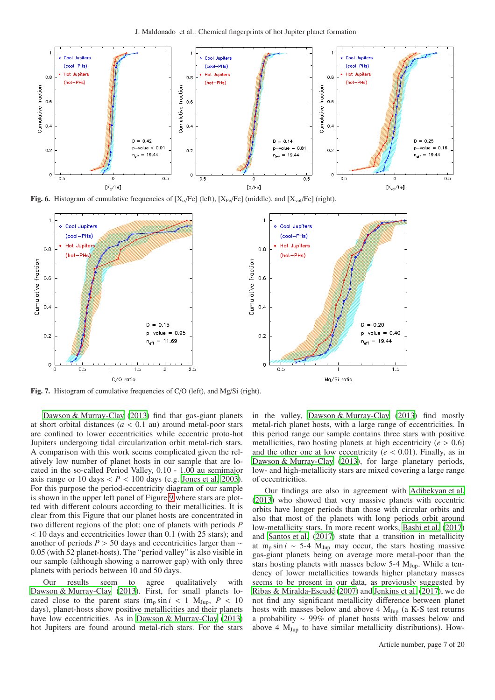

<span id="page-6-0"></span>Fig. 6. Histogram of cumulative frequencies of  $[X_\alpha/Fe]$  (left),  $[X_\text{Fe}/Fe]$  (middle), and  $[X_\text{vol}/Fe]$  (right).



<span id="page-6-1"></span>Fig. 7. Histogram of cumulative frequencies of C/O (left), and Mg/Si (right).

[Dawson & Murray-Clay](#page-10-25) [\(2013\)](#page-10-25) find that gas-giant planets at short orbital distances  $(a < 0.1$  au) around metal-poor stars are confined to lower eccentricities while eccentric proto-hot Jupiters undergoing tidal circularization orbit metal-rich stars. A comparison with this work seems complicated given the relatively low number of planet hosts in our sample that are located in the so-called Period Valley, 0.10 - 1.00 au semimajor axis range or 10 days  $\langle P \rangle$  100 days (e.g. [Jones et al. 2003](#page-11-29)). For this purpose the period-eccentricity diagram of our sample is shown in the upper left panel of Figure [9](#page-9-0) where stars are plotted with different colours according to their metallicities. It is clear from this Figure that our planet hosts are concentrated in two different regions of the plot: one of planets with periods *P* < 10 days and eccentricities lower than 0.1 (with 25 stars); and another of periods *P* > 50 days and eccentricities larger than ∼ 0.05 (with 52 planet-hosts). The "period valley" is also visible in our sample (although showing a narrower gap) with only three planets with periods between 10 and 50 days.

Our results seem to agree qualitatively with [Dawson & Murray-Clay \(2013\)](#page-10-25). First, for small planets located close to the parent stars  $(m_p \sin i \le 1 \text{ M}_{Jup}, P \le 10$ days), planet-hosts show positive metallicities and their planets have low eccentricities. As in [Dawson & Murray-Clay](#page-10-25) [\(2013\)](#page-10-25) hot Jupiters are found around metal-rich stars. For the stars in the valley, [Dawson & Murray-Clay \(2013](#page-10-25)) find mostly metal-rich planet hosts, with a large range of eccentricities. In this period range our sample contains three stars with positive metallicities, two hosting planets at high eccentricity ( $e > 0.6$ ) and the other one at low eccentricity ( $e < 0.01$ ). Finally, as in [Dawson & Murray-Clay](#page-10-25) [\(2013\)](#page-10-25), for large planetary periods, low- and high-metallicity stars are mixed covering a large range of eccentricities.

Our findings are also in agreement with [Adibekyan et al.](#page-10-27) [\(2013\)](#page-10-27) who showed that very massive planets with eccentric orbits have longer periods than those with circular orbits and also that most of the planets with long periods orbit around low-metallicity stars. In more recent works, [Bashi et al. \(2017](#page-10-28)) and [Santos et al.](#page-11-41) [\(2017\)](#page-11-41) state that a transition in metallicity at m<sub>p</sub> sin *i* ~ 5-4  $M_{Jup}$  may occur, the stars hosting massive gas-giant planets being on average more metal-poor than the stars hosting planets with masses below  $5-4$  M<sub>Jup</sub>. While a tendency of lower metallicities towards higher planetary masses seems to be present in our data, as previously suggested by [Ribas & Miralda-Escudé \(2007\)](#page-11-32) and [Jenkins et al. \(2017\)](#page-11-42), we do not find any significant metallicity difference between planet hosts with masses below and above  $4 M_{Jup}$  (a K-S test returns a probability ∼ 99% of planet hosts with masses below and above 4  $M_{Jup}$  to have similar metallicity distributions). How-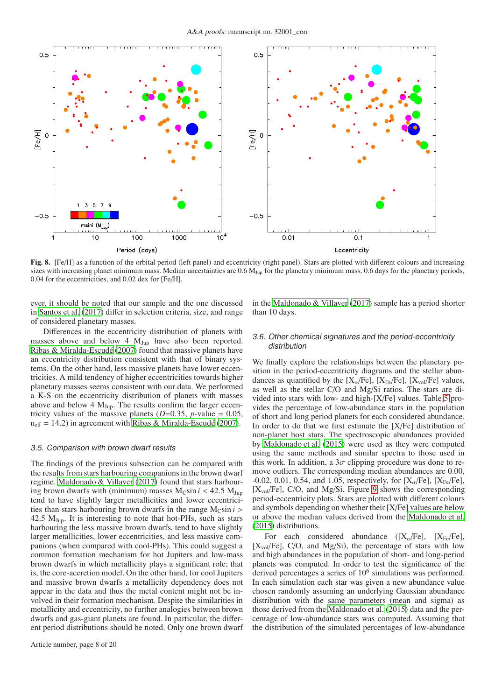

<span id="page-7-0"></span>Fig. 8. [Fe/H] as a function of the orbital period (left panel) and eccentricity (right panel). Stars are plotted with different colours and increasing sizes with increasing planet minimum mass. Median uncertainties are  $0.6 M_{\text{Jup}}$  for the planetary minimum mass, 0.6 days for the planetary periods, 0.04 for the eccentricities, and 0.02 dex for [Fe/H].

ever, it should be noted that our sample and the one discussed in [Santos et al. \(2017\)](#page-11-41) differ in selection criteria, size, and range of considered planetary masses.

Differences in the eccentricity distribution of planets with masses above and below 4  $M_{Jup}$  have also been reported. [Ribas & Miralda-Escudé \(2007\)](#page-11-32) found that massive planets have an eccentricity distribution consistent with that of binary systems. On the other hand, less massive planets have lower eccentricities. A mild tendency of higher eccentricities towards higher planetary masses seems consistent with our data. We performed a K-S on the eccentricity distribution of planets with masses above and below 4  $M_{Jup}$ . The results confirm the larger eccentricity values of the massive planets ( $D=0.35$ ,  $p$ -value = 0.05,  $n_{\text{eff}} = 14.2$ ) in agreement with [Ribas & Miralda-Escudé \(2007\)](#page-11-32).

#### 3.5. Comparison with brown dwarf results

The findings of the previous subsection can be compared with the results from stars harbouring companions in the brown dwarf regime. [Maldonado & Villaver \(2017\)](#page-11-45) found that stars harbouring brown dwarfs with (minimum) masses  $M_{\text{C}}\sin i < 42.5 M_{\text{Jup}}$ tend to have slightly larger metallicities and lower eccentricities than stars harbouring brown dwarfs in the range  $M_{\text{C}}\sin i$  > 42.5  $M_{Jup}$ . It is interesting to note that hot-PHs, such as stars harbouring the less massive brown dwarfs, tend to have slightly larger metallicities, lower eccentricities, and less massive companions (when compared with cool-PHs). This could suggest a common formation mechanism for hot Jupiters and low-mass brown dwarfs in which metallicity plays a significant role; that is, the core-accretion model. On the other hand, for cool Jupiters and massive brown dwarfs a metallicity dependency does not appear in the data and thus the metal content might not be involved in their formation mechanism. Despite the similarities in metallicity and eccentricity, no further analogies between brown dwarfs and gas-giant planets are found. In particular, the different period distributions should be noted. Only one brown dwarf in the [Maldonado & Villaver](#page-11-45) [\(2017\)](#page-11-45) sample has a period shorter than 10 days.

#### 3.6. Other chemical signatures and the period-eccentricity distribution

We finally explore the relationships between the planetary position in the period-eccentricity diagrams and the stellar abundances as quantified by the  $[X_{\alpha}/Fe]$ ,  $[X_{Fe}/Fe]$ ,  $[X_{vol}/Fe]$  values, as well as the stellar C/O and Mg/Si ratios. The stars are divided into stars with low- and high-[X/Fe] values. Table [5](#page-8-2) provides the percentage of low-abundance stars in the population of short and long period planets for each considered abundance. In order to do that we first estimate the [X/Fe] distribution of non-planet host stars. The spectroscopic abundances provided by [Maldonado et al. \(2015](#page-11-40)) were used as they were computed using the same methods and similar spectra to those used in this work. In addition, a  $3\sigma$  clipping procedure was done to remove outliers. The corresponding median abundances are 0.00,  $-0.02, 0.01, 0.54,$  and 1.05, respectively, for [X<sub>α</sub>/Fe], [X<sub>Fe</sub>/Fe],  $[X_{\text{vol}}/Fe]$ , C/O, and Mg/Si. Figure [9](#page-9-0) shows the corresponding period-eccentricity plots. Stars are plotted with different colours and symbols depending on whether their [X/Fe] values are below or above the median values derived from the [Maldonado et al.](#page-11-40) [\(2015\)](#page-11-40) distributions.

For each considered abundance  $([X_{\alpha}/Fe], [X_{Fe}/Fe],$  $[X_{\text{vol}}/Fe]$ , C/O, and Mg/Si), the percentage of stars with low and high abundances in the population of short- and long-period planets was computed. In order to test the significance of the derived percentages a series of 10<sup>6</sup> simulations was performed. In each simulation each star was given a new abundance value chosen randomly assuming an underlying Gaussian abundance distribution with the same parameters (mean and sigma) as those derived from the [Maldonado et al. \(2015](#page-11-40)) data and the percentage of low-abundance stars was computed. Assuming that the distribution of the simulated percentages of low-abundance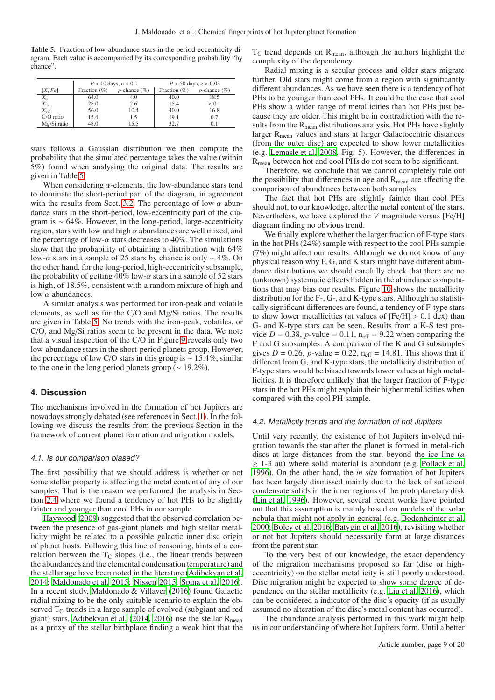<span id="page-8-2"></span>Table 5. Fraction of low-abundance stars in the period-eccentricity diagram. Each value is accompanied by its corresponding probability "by chance".

|               |                 | $P < 10$ days, e $< 0.1$ |                 | $P > 50$ days, e $> 0.05$ |
|---------------|-----------------|--------------------------|-----------------|---------------------------|
| [X/Fe]        | Fraction $(\%)$ | $p$ -chance $(\%)$       | Fraction $(\%)$ | $p$ -chance $(\%)$        |
| $X_{\alpha}$  | 64.0            | 4.0                      | 40.0            | 18.5                      |
| $X_{\rm Fe}$  | 28.0            | 2.6                      | 15.4            | < 0.1                     |
| $X_{\rm vol}$ | 56.0            | 10.4                     | 40.0            | 16.8                      |
| $C/O$ ratio   | 15.4            | 1.5                      | 19.1            | 0.7                       |
| Mg/Si ratio   | 48.0            | 15.5                     | 32.7            | (0, 1)                    |

stars follows a Gaussian distribution we then compute the probability that the simulated percentage takes the value (within 5%) found when analysing the original data. The results are given in Table [5.](#page-8-2)

When considering  $\alpha$ -elements, the low-abundance stars tend to dominate the short-period part of the diagram, in agreement with the results from Sect. [3.2.](#page-4-6) The percentage of low  $\alpha$  abundance stars in the short-period, low-eccentricity part of the diagram is ∼ 64%. However, in the long-period, large-eccentricity region, stars with low and high  $\alpha$  abundances are well mixed, and the percentage of low- $\alpha$  stars decreases to 40%. The simulations show that the probability of obtaining a distribution with 64% low- $\alpha$  stars in a sample of 25 stars by chance is only ~ 4%. On the other hand, for the long-period, high-eccentricity subsample, the probability of getting 40% low- $\alpha$  stars in a sample of 52 stars is high, of 18.5%, consistent with a random mixture of high and low  $\alpha$  abundances.

A similar analysis was performed for iron-peak and volatile elements, as well as for the C/O and Mg/Si ratios. The results are given in Table [5.](#page-8-2) No trends with the iron-peak, volatiles, or C/O, and Mg/Si ratios seem to be present in the data. We note that a visual inspection of the C/O in Figure [9](#page-9-0) reveals only two low-abundance stars in the short-period planets group. However, the percentage of low C/O stars in this group is ∼ 15.4%, similar to the one in the long period planets group ( $\sim$  19.2%).

# <span id="page-8-0"></span>**4. Discussion**

The mechanisms involved in the formation of hot Jupiters are nowadays strongly debated (see references in Sect. [1\)](#page-0-0). In the following we discuss the results from the previous Section in the framework of current planet formation and migration models.

#### <span id="page-8-1"></span>4.1. Is our comparison biased?

The first possibility that we should address is whether or not some stellar property is affecting the metal content of any of our samples. That is the reason we performed the analysis in Section [2.4](#page-3-3) where we found a tendency of hot PHs to be slightly fainter and younger than cool PHs in our sample.

[Haywood \(2009](#page-10-52)) suggested that the observed correlation between the presence of gas-giant planets and high stellar metallicity might be related to a possible galactic inner disc origin of planet hosts. Following this line of reasoning, hints of a correlation between the  $T_{\text{C}}$  slopes (i.e., the linear trends between the abundances and the elemental condensation temperature) and the stellar age have been noted in the literature [\(Adibekyan](#page-10-42) et al. [2014;](#page-10-42) [Maldonado et al. 2015](#page-11-40); [Nissen 2015;](#page-11-79) [Spina et al. 2016](#page-11-80)). In a recent study, [Maldonado & Villaver \(2016\)](#page-11-55) found Galactic radial mixing to be the only suitable scenario to explain the observed T<sub>C</sub> trends in a large sample of evolved (subgiant and red giant) stars. [Adibekyan et al. \(2014,](#page-10-42) [2016](#page-10-43)) use the stellar  $R_{mean}$ as a proxy of the stellar birthplace finding a weak hint that the  $T_C$  trend depends on  $R_{mean}$ , although the authors highlight the complexity of the dependency.

Radial mixing is a secular process and older stars migrate further. Old stars might come from a region with significantly different abundances. As we have seen there is a tendency of hot PHs to be younger than cool PHs. It could be the case that cool PHs show a wider range of metallicities than hot PHs just because they are older. This might be in contradiction with the results from the  $R_{mean}$  distributions analysis. Hot PHs have slightly larger R<sub>mean</sub> values and stars at larger Galactocentric distances (from the outer disc) are expected to show lower metallicities (e.g. [Lemasle et al. 2008,](#page-11-81) Fig. 5). However, the differences in R<sub>mean</sub> between hot and cool PHs do not seem to be significant.

Therefore, we conclude that we cannot completely rule out the possibility that differences in age and  $R_{mean}$  are affecting the comparison of abundances between both samples.

The fact that hot PHs are slightly fainter than cool PHs should not, to our knowledge, alter the metal content of the stars. Nevertheless, we have explored the *V* magnitude versus [Fe/H] diagram finding no obvious trend.

We finally explore whether the larger fraction of F-type stars in the hot PHs (24%) sample with respect to the cool PHs sample (7%) might affect our results. Although we do not know of any physical reason why F, G, and K stars might have different abundance distributions we should carefully check that there are no (unknown) systematic effects hidden in the abundance computations that may bias our results. Figure [10](#page-9-1) shows the metallicity distribution for the F-, G-, and K-type stars. Although no statistically significant differences are found, a tendency of F-type stars to show lower metallicities (at values of  $[Fe/H] > 0.1$  dex) than G- and K-type stars can be seen. Results from a K-S test provide  $D = 0.38$ , *p*-value = 0.11,  $n_{\text{eff}} = 9.22$  when comparing the F and G subsamples. A comparison of the K and G subsamples gives  $D = 0.26$ ,  $p$ -value = 0.22,  $n_{\text{eff}} = 14.81$ . This shows that if different from G, and K-type stars, the metallicity distribution of F-type stars would be biased towards lower values at high metallicities. It is therefore unlikely that the larger fraction of F-type stars in the hot PHs might explain their higher metallicities when compared with the cool PH sample.

#### 4.2. Metallicity trends and the formation of hot Jupiters

Until very recently, the existence of hot Jupiters involved migration towards the star after the planet is formed in metal-rich discs at large distances from the star, beyond the ice line (*a*  $\geq 1$ -3 au) where solid material is abundant (e.g. [Pollack et al.](#page-11-3) [1996\)](#page-11-3). On the other hand, the *in situ* formation of hot Jupiters has been largely dismissed mainly due to the lack of sufficient condensate solids in the inner regions of the protoplanetary disk [\(Lin et al. 1996](#page-11-2)). However, several recent works have pointed out that this assumption is mainly based on models of the solar nebula that might not apply in general (e.g. [Bodenheimer et al.](#page-10-2) [2000;](#page-10-2) [Boley et al. 2016;](#page-10-16) [Batygin et al. 2016\)](#page-10-15), revisiting whether or not hot Jupiters should necessarily form at large distances from the parent star.

To the very best of our knowledge, the exact dependency of the migration mechanisms proposed so far (disc or higheccentricity) on the stellar metallicity is still poorly understood. Disc migration might be expected to show some degree of dependence on the stellar metallicity (e.g. [Liu et al. 2016](#page-11-82)), which can be considered a indicator of the disc's opacity (if as usually assumed no alteration of the disc's metal content has occurred).

The abundance analysis performed in this work might help us in our understanding of where hot Jupiters form. Until a better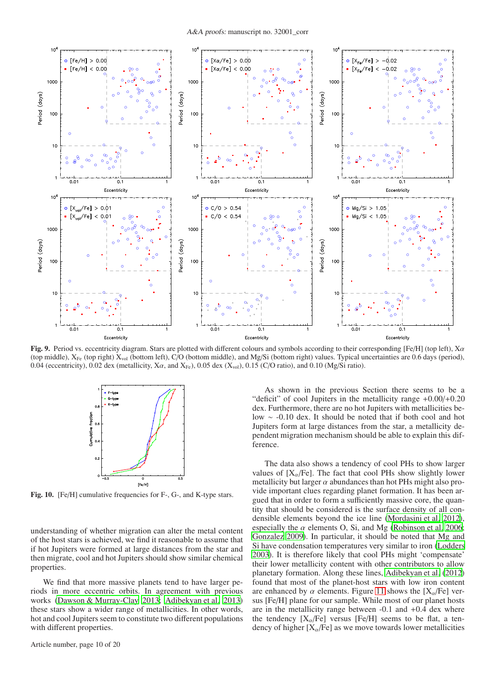

<span id="page-9-0"></span>Fig. 9. Period vs. eccentricity diagram. Stars are plotted with different colours and symbols according to their corresponding [Fe/H] (top left),  $X\alpha$ (top middle),  $X_{Fe}$  (top right)  $X_{vol}$  (bottom left), C/O (bottom middle), and Mg/Si (bottom right) values. Typical uncertainties are 0.6 days (period), 0.04 (eccentricity), 0.02 dex (metallicity, X $\alpha$ , and X<sub>Fe</sub>), 0.05 dex (X<sub>vol</sub>), 0.15 (C/O ratio), and 0.10 (Mg/Si ratio).



<span id="page-9-1"></span>Fig. 10. [Fe/H] cumulative frequencies for F-, G-, and K-type stars.

understanding of whether migration can alter the metal content of the host stars is achieved, we find it reasonable to assume that if hot Jupiters were formed at large distances from the star and then migrate, cool and hot Jupiters should show similar chemical properties.

We find that more massive planets tend to have larger periods in more eccentric orbits. In agreement with previous works [\(Dawson & Murray-Clay 2013](#page-10-25); [Adibekyan et al. 2013\)](#page-10-27) these stars show a wider range of metallicities. In other words, hot and cool Jupiters seem to constitute two different populations with different properties.

Article number, page 10 of 20

As shown in the previous Section there seems to be a "deficit" of cool Jupiters in the metallicity range +0.00/+0.20 dex. Furthermore, there are no hot Jupiters with metallicities below ∼ -0.10 dex. It should be noted that if both cool and hot Jupiters form at large distances from the star, a metallicity dependent migration mechanism should be able to explain this difference.

The data also shows a tendency of cool PHs to show larger values of  $[X_{\alpha}/Fe]$ . The fact that cool PHs show slightly lower metallicity but larger  $\alpha$  abundances than hot PHs might also provide important clues regarding planet formation. It has been argued that in order to form a sufficiently massive core, the quantity that should be considered is the surface density of all condensible elements beyond the ice line [\(Mordasini et al. 2012\)](#page-11-83), especially the  $\alpha$  elements O, Si, and Mg [\(Robinson et al. 2006;](#page-11-84) [Gonzalez 2009\)](#page-10-53). In particular, it should be noted that Mg and Si have condensation temperatures very similar to iron [\(Lodders](#page-11-85) [2003\)](#page-11-85). It is therefore likely that cool PHs might 'compensate' their lower metallicity content with other contributors to allow planetary formation. Along these lines, [Adibekyan et al. \(2012](#page-10-54)) found that most of the planet-host stars with low iron content are enhanced by  $\alpha$  elements. Figure [11](#page-10-55) shows the [X<sub> $\alpha$ </sub>/Fe] versus [Fe/H] plane for our sample. While most of our planet hosts are in the metallicity range between -0.1 and +0.4 dex where the tendency  $[X_{\alpha}/Fe]$  versus [Fe/H] seems to be flat, a tendency of higher  $[X_{\alpha}/Fe]$  as we move towards lower metallicities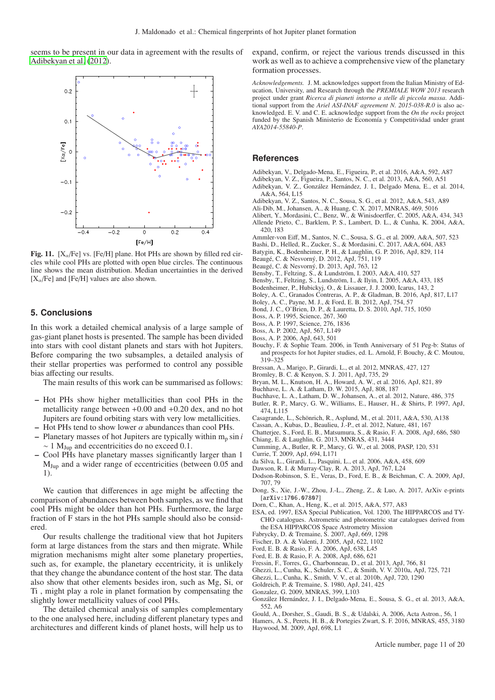seems to be present in our data in agreement with the results of [Adibekyan et al. \(2012](#page-10-54)).



<span id="page-10-55"></span>Fig. 11.  $[X_\alpha/\text{Fe}]$  vs. [Fe/H] plane. Hot PHs are shown by filled red circles while cool PHs are plotted with open blue circles. The continuous line shows the mean distribution. Median uncertainties in the derived  $[X_{\alpha}/Fe]$  and [Fe/H] values are also shown.

# <span id="page-10-29"></span>**5. Conclusions**

In this work a detailed chemical analysis of a large sample of gas-giant planet hosts is presented. The sample has been divided into stars with cool distant planets and stars with hot Jupiters. Before comparing the two subsamples, a detailed analysis of their stellar properties was performed to control any possible bias affecting our results.

The main results of this work can be summarised as follows:

- Hot PHs show higher metallicities than cool PHs in the metallicity range between  $+0.00$  and  $+0.20$  dex, and no hot Jupiters are found orbiting stars with very low metallicities.
- Hot PHs tend to show lower  $\alpha$  abundances than cool PHs.
- $-$  Planetary masses of hot Jupiters are typically within  $m_p \sin i$ ∼ 1 MJup and eccentricities do no exceed 0.1.
- Cool PHs have planetary masses significantly larger than 1 MJup and a wider range of eccentricities (between 0.05 and 1).

We caution that differences in age might be affecting the comparison of abundances between both samples, as we find that cool PHs might be older than hot PHs. Furthermore, the large fraction of F stars in the hot PHs sample should also be considered.

Our results challenge the traditional view that hot Jupiters form at large distances from the stars and then migrate. While migration mechanisms might alter some planetary properties, such as, for example, the planetary eccentricity, it is unlikely that they change the abundance content of the host star. The data also show that other elements besides iron, such as Mg, Si, or Ti , might play a role in planet formation by compensating the slightly lower metallicity values of cool PHs.

The detailed chemical analysis of samples complementary to the one analysed here, including different planetary types and architectures and different kinds of planet hosts, will help us to expand, confirm, or reject the various trends discussed in this work as well as to achieve a comprehensive view of the planetary formation processes.

*Acknowledgements.* J. M. acknowledges support from the Italian Ministry of Education, University, and Research through the *PREMIALE WOW 2013* research project under grant *Ricerca di pianeti intorno a stelle di piccola massa*. Additional support from the *Ariel ASI-INAF agreement N. 2015-038-R.0* is also acknowledged. E. V. and C. E. acknowledge support from the *On the rocks* project funded by the Spanish Ministerio de Economía y Competitividad under grant *AYA2014-55840-P*.

# **References**

- <span id="page-10-43"></span>Adibekyan, V., Delgado-Mena, E., Figueira, P., et al. 2016, A&A, 592, A87
- <span id="page-10-27"></span>Adibekyan, V. Z., Figueira, P., Santos, N. C., et al. 2013, A&A, 560, A51
- <span id="page-10-42"></span>Adibekyan, V. Z., González Hernández, J. I., Delgado Mena, E., et al. 2014, A&A, 564, L15
- <span id="page-10-54"></span>Adibekyan, V. Z., Santos, N. C., Sousa, S. G., et al. 2012, A&A, 543, A89
- <span id="page-10-14"></span>Ali-Dib, M., Johansen, A., & Huang, C. X. 2017, MNRAS, 469, 5016
- <span id="page-10-36"></span><span id="page-10-4"></span>Alibert, Y., Mordasini, C., Benz, W., & Winisdoerffer, C. 2005, A&A, 434, 343 Allende Prieto, C., Barklem, P. S., Lambert, D. L., & Cunha, K. 2004, A&A, 420, 183
- <span id="page-10-24"></span>Ammler-von Eiff, M., Santos, N. C., Sousa, S. G., et al. 2009, A&A, 507, 523
- <span id="page-10-28"></span>Bashi, D., Helled, R., Zucker, S., & Mordasini, C. 2017, A&A, 604, A83
- <span id="page-10-15"></span>Batygin, K., Bodenheimer, P. H., & Laughlin, G. P. 2016, ApJ, 829, 114
- <span id="page-10-9"></span>Beaugé, C. & Nesvorný, D. 2012, ApJ, 751, 119
- <span id="page-10-26"></span>Beaugé, C. & Nesvorný, D. 2013, ApJ, 763, 12
- <span id="page-10-40"></span>Bensby, T., Feltzing, S., & Lundström, I. 2003, A&A, 410, 527
- <span id="page-10-41"></span>Bensby, T., Feltzing, S., Lundström, I., & Ilyin, I. 2005, A&A, 433, 185
- <span id="page-10-2"></span>Bodenheimer, P., Hubickyj, O., & Lissauer, J. J. 2000, Icarus, 143, 2
- <span id="page-10-16"></span>Boley, A. C., Granados Contreras, A. P., & Gladman, B. 2016, ApJ, 817, L17
- <span id="page-10-10"></span>Boley, A. C., Payne, M. J., & Ford, E. B. 2012, ApJ, 754, 57
- <span id="page-10-45"></span>Bond, J. C., O'Brien, D. P., & Lauretta, D. S. 2010, ApJ, 715, 1050
- <span id="page-10-1"></span>Boss, A. P. 1995, Science, 267, 360
- <span id="page-10-49"></span>Boss, A. P. 1997, Science, 276, 1836
- <span id="page-10-50"></span>Boss, A. P. 2002, ApJ, 567, L149
- <span id="page-10-51"></span>Boss, A. P. 2006, ApJ, 643, 501
- <span id="page-10-35"></span>Bouchy, F. & Sophie Team. 2006, in Tenth Anniversary of 51 Peg-b: Status of and prospects for hot Jupiter studies, ed. L. Arnold, F. Bouchy, & C. Moutou, 319–325
- <span id="page-10-39"></span>Bressan, A., Marigo, P., Girardi, L., et al. 2012, MNRAS, 427, 127
- <span id="page-10-5"></span>Bromley, B. C. & Kenyon, S. J. 2011, ApJ, 735, 29
- <span id="page-10-20"></span>Bryan, M. L., Knutson, H. A., Howard, A. W., et al. 2016, ApJ, 821, 89
- <span id="page-10-33"></span>Buchhave, L. A. & Latham, D. W. 2015, ApJ, 808, 187
- <span id="page-10-32"></span>Buchhave, L. A., Latham, D. W., Johansen, A., et al. 2012, Nature, 486, 375
- <span id="page-10-0"></span>Butler, R. P., Marcy, G. W., Williams, E., Hauser, H., & Shirts, P. 1997, ApJ, 474, L115
- <span id="page-10-44"></span>Casagrande, L., Schönrich, R., Asplund, M., et al. 2011, A&A, 530, A138
- <span id="page-10-18"></span>Cassan, A., Kubas, D., Beaulieu, J.-P., et al. 2012, Nature, 481, 167
- <span id="page-10-8"></span>Chatterjee, S., Ford, E. B., Matsumura, S., & Rasio, F. A. 2008, ApJ, 686, 580 Chiang, E. & Laughlin, G. 2013, MNRAS, 431, 3444
- <span id="page-10-21"></span><span id="page-10-17"></span>Cumming, A., Butler, R. P., Marcy, G. W., et al. 2008, PASP, 120, 531
- <span id="page-10-22"></span>Currie, T. 2009, ApJ, 694, L171
- <span id="page-10-38"></span>da Silva, L., Girardi, L., Pasquini, L., et al. 2006, A&A, 458, 609
- <span id="page-10-25"></span>Dawson, R. I. & Murray-Clay, R. A. 2013, ApJ, 767, L24
- <span id="page-10-13"></span>Dodson-Robinson, S. E., Veras, D., Ford, E. B., & Beichman, C. A. 2009, ApJ, 707, 79
- <span id="page-10-23"></span>Dong, S., Xie, J.-W., Zhou, J.-L., Zheng, Z., & Luo, A. 2017, ArXiv e-prints [arXiv:1706.07807]
- <span id="page-10-46"></span>Dorn, C., Khan, A., Heng, K., et al. 2015, A&A, 577, A83
- <span id="page-10-37"></span>ESA, ed. 1997, ESA Special Publication, Vol. 1200, The HIPPARCOS and TY-CHO catalogues. Astrometric and photometric star catalogues derived from the ESA HIPPARCOS Space Astrometry Mission
- <span id="page-10-11"></span>Fabrycky, D. & Tremaine, S. 2007, ApJ, 669, 1298
- <span id="page-10-48"></span>Fischer, D. A. & Valenti, J. 2005, ApJ, 622, 1102
- <span id="page-10-6"></span>Ford, E. B. & Rasio, F. A. 2006, ApJ, 638, L45
- <span id="page-10-7"></span>Ford, E. B. & Rasio, F. A. 2008, ApJ, 686, 621
- <span id="page-10-19"></span>Fressin, F., Torres, G., Charbonneau, D., et al. 2013, ApJ, 766, 81
- <span id="page-10-34"></span>Ghezzi, L., Cunha, K., Schuler, S. C., & Smith, V. V. 2010a, ApJ, 725, 721
- <span id="page-10-31"></span>Ghezzi, L., Cunha, K., Smith, V. V., et al. 2010b, ApJ, 720, 1290
- <span id="page-10-3"></span>Goldreich, P. & Tremaine, S. 1980, ApJ, 241, 425
- <span id="page-10-53"></span>Gonzalez, G. 2009, MNRAS, 399, L103
- <span id="page-10-47"></span>González Hernández, J. I., Delgado-Mena, E., Sousa, S. G., et al. 2013, A&A, 552, A6
- <span id="page-10-30"></span>Gould, A., Dorsher, S., Gaudi, B. S., & Udalski, A. 2006, Acta Astron., 56, 1
- <span id="page-10-52"></span><span id="page-10-12"></span>Hamers, A. S., Perets, H. B., & Portegies Zwart, S. F. 2016, MNRAS, 455, 3180 Haywood, M. 2009, ApJ, 698, L1

Article number, page 11 of 20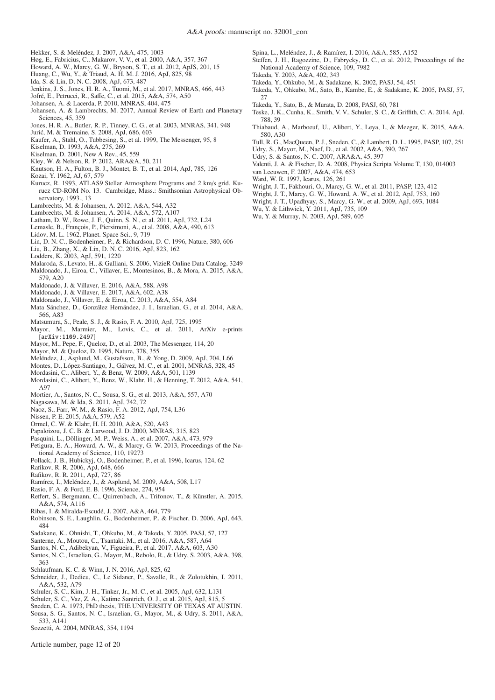- <span id="page-11-48"></span>Hekker, S. & Meléndez, J. 2007, A&A, 475, 1003
- <span id="page-11-70"></span>Høg, E., Fabricius, C., Makarov, V. V., et al. 2000, A&A, 357, 367
- <span id="page-11-25"></span>Howard, A. W., Marcy, G. W., Bryson, S. T., et al. 2012, ApJS, 201, 15
- <span id="page-11-36"></span>Huang, C., Wu, Y., & Triaud, A. H. M. J. 2016, ApJ, 825, 98
- <span id="page-11-6"></span>Ida, S. & Lin, D. N. C. 2008, ApJ, 673, 487
- <span id="page-11-42"></span>Jenkins, J. S., Jones, H. R. A., Tuomi, M., et al. 2017, MNRAS, 466, 443
- <span id="page-11-53"></span>Jofré, E., Petrucci, R., Saffe, C., et al. 2015, A&A, 574, A50
- <span id="page-11-19"></span>Johansen, A. & Lacerda, P. 2010, MNRAS, 404, 475
- <span id="page-11-23"></span>Johansen, A. & Lambrechts, M. 2017, Annual Review of Earth and Planetary Sciences, 45, 359
- <span id="page-11-29"></span>Jones, H. R. A., Butler, R. P., Tinney, C. G., et al. 2003, MNRAS, 341, 948
- <span id="page-11-10"></span>Juric, M. & Tremaine, S. 2008, ApJ, 686, 603 ´
- <span id="page-11-56"></span>Kaufer, A., Stahl, O., Tubbesing, S., et al. 1999, The Messenger, 95, 8
- <span id="page-11-64"></span>Kiselman, D. 1993, A&A, 275, 269
- <span id="page-11-65"></span>Kiselman, D. 2001, New A Rev., 45, 559
- <span id="page-11-8"></span>Kley, W. & Nelson, R. P. 2012, ARA&A, 50, 211
- <span id="page-11-27"></span>Knutson, H. A., Fulton, B. J., Montet, B. T., et al. 2014, ApJ, 785, 126
- <span id="page-11-14"></span>Kozai, Y. 1962, AJ, 67, 579
- <span id="page-11-60"></span>Kurucz, R. 1993, ATLAS9 Stellar Atmosphere Programs and 2 km/s grid. Kurucz CD-ROM No. 13. Cambridge, Mass.: Smithsonian Astrophysical Observatory, 1993., 13
- <span id="page-11-21"></span>Lambrechts, M. & Johansen, A. 2012, A&A, 544, A32
- <span id="page-11-22"></span>Lambrechts, M. & Johansen, A. 2014, A&A, 572, A107
- <span id="page-11-34"></span>Latham, D. W., Rowe, J. F., Quinn, S. N., et al. 2011, ApJ, 732, L24
- <span id="page-11-81"></span>Lemasle, B., François, P., Piersimoni, A., et al. 2008, A&A, 490, 613
- <span id="page-11-13"></span>Lidov, M. L. 1962, Planet. Space Sci., 9, 719
- <span id="page-11-2"></span>Lin, D. N. C., Bodenheimer, P., & Richardson, D. C. 1996, Nature, 380, 606
- <span id="page-11-82"></span>Liu, B., Zhang, X., & Lin, D. N. C. 2016, ApJ, 823, 162
- <span id="page-11-85"></span>Lodders, K. 2003, ApJ, 591, 1220
- <span id="page-11-71"></span>Malaroda, S., Levato, H., & Galliani, S. 2006, VizieR Online Data Catalog, 3249
- <span id="page-11-40"></span>Maldonado, J., Eiroa, C., Villaver, E., Montesinos, B., & Mora, A. 2015, A&A, 579, A20
- <span id="page-11-55"></span>Maldonado, J. & Villaver, E. 2016, A&A, 588, A98
- <span id="page-11-45"></span>Maldonado, J. & Villaver, E. 2017, A&A, 602, A38
- <span id="page-11-51"></span>Maldonado, J., Villaver, E., & Eiroa, C. 2013, A&A, 554, A84
- <span id="page-11-74"></span>Mata Sánchez, D., González Hernández, J. I., Israelian, G., et al. 2014, A&A, 566, A83
- <span id="page-11-11"></span>Matsumura, S., Peale, S. J., & Rasio, F. A. 2010, ApJ, 725, 1995
- <span id="page-11-24"></span>Mayor, M., Marmier, M., Lovis, C., et al. 2011, ArXiv e-prints [arXiv:1109.2497]
- <span id="page-11-57"></span>Mayor, M., Pepe, F., Queloz, D., et al. 2003, The Messenger, 114, 20
- <span id="page-11-0"></span>Mayor, M. & Queloz, D. 1995, Nature, 378, 355
- <span id="page-11-73"></span>Meléndez, J., Asplund, M., Gustafsson, B., & Yong, D. 2009, ApJ, 704, L66
- <span id="page-11-69"></span>Montes, D., López-Santiago, J., Gálvez, M. C., et al. 2001, MNRAS, 328, 45
- <span id="page-11-7"></span>Mordasini, C., Alibert, Y., & Benz, W. 2009, A&A, 501, 1139
- <span id="page-11-83"></span>Mordasini, C., Alibert, Y., Benz, W., Klahr, H., & Henning, T. 2012, A&A, 541, A97
- <span id="page-11-52"></span>Mortier, A., Santos, N. C., Sousa, S. G., et al. 2013, A&A, 557, A70
- <span id="page-11-12"></span>Nagasawa, M. & Ida, S. 2011, ApJ, 742, 72
- <span id="page-11-16"></span>Naoz, S., Farr, W. M., & Rasio, F. A. 2012, ApJ, 754, L36
- <span id="page-11-79"></span>Nissen, P. E. 2015, A&A, 579, A52
- <span id="page-11-20"></span>Ormel, C. W. & Klahr, H. H. 2010, A&A, 520, A43
- <span id="page-11-5"></span>Papaloizou, J. C. B. & Larwood, J. D. 2000, MNRAS, 315, 823
- <span id="page-11-49"></span>Pasquini, L., Döllinger, M. P., Weiss, A., et al. 2007, A&A, 473, 979
- <span id="page-11-26"></span>Petigura, E. A., Howard, A. W., & Marcy, G. W. 2013, Proceedings of the National Academy of Science, 110, 19273
- <span id="page-11-3"></span>Pollack, J. B., Hubickyj, O., Bodenheimer, P., et al. 1996, Icarus, 124, 62
- <span id="page-11-1"></span>Rafikov, R. R. 2006, ApJ, 648, 666
- <span id="page-11-18"></span>Rafikov, R. R. 2011, ApJ, 727, 86
- <span id="page-11-76"></span>Ramírez, I., Meléndez, J., & Asplund, M. 2009, A&A, 508, L17
- <span id="page-11-9"></span>Rasio, F. A. & Ford, E. B. 1996, Science, 274, 954
- <span id="page-11-54"></span>Reffert, S., Bergmann, C., Quirrenbach, A., Trifonov, T., & Künstler, A. 2015, A&A, 574, A116
- <span id="page-11-32"></span>Ribas, I. & Miralda-Escudé, J. 2007, A&A, 464, 779
- <span id="page-11-84"></span>Robinson, S. E., Laughlin, G., Bodenheimer, P., & Fischer, D. 2006, ApJ, 643, 484
- <span id="page-11-46"></span>Sadakane, K., Ohnishi, T., Ohkubo, M., & Takeda, Y. 2005, PASJ, 57, 127
- <span id="page-11-31"></span>Santerne, A., Moutou, C., Tsantaki, M., et al. 2016, A&A, 587, A64
- <span id="page-11-41"></span>Santos, N. C., Adibekyan, V., Figueira, P., et al. 2017, A&A, 603, A30
- <span id="page-11-78"></span>Santos, N. C., Israelian, G., Mayor, M., Rebolo, R., & Udry, S. 2003, A&A, 398, 363
- <span id="page-11-33"></span>Schlaufman, K. C. & Winn, J. N. 2016, ApJ, 825, 62
- <span id="page-11-43"></span>Schneider, J., Dedieu, C., Le Sidaner, P., Savalle, R., & Zolotukhin, I. 2011, A&A, 532, A79
- <span id="page-11-47"></span>Schuler, S. C., Kim, J. H., Tinker, Jr., M. C., et al. 2005, ApJ, 632, L131
- <span id="page-11-68"></span>Schuler, S. C., Vaz, Z. A., Katime Santrich, O. J., et al. 2015, ApJ, 815, 5
- <span id="page-11-63"></span>Sneden, C. A. 1973, PhD thesis, THE UNIVERSITY OF TEXAS AT AUSTIN.
- <span id="page-11-44"></span>Sousa, S. G., Santos, N. C., Israelian, G., Mayor, M., & Udry, S. 2011, A&A, 533, A141
- <span id="page-11-39"></span>Sozzetti, A. 2004, MNRAS, 354, 1194

Article number, page 12 of 20

- <span id="page-11-80"></span>Spina, L., Meléndez, J., & Ramírez, I. 2016, A&A, 585, A152
- <span id="page-11-35"></span>Steffen, J. H., Ragozzine, D., Fabrycky, D. C., et al. 2012, Proceedings of the National Academy of Science, 109, 7982
- <span id="page-11-66"></span>Takeda, Y. 2003, A&A, 402, 343
- <span id="page-11-61"></span>Takeda, Y., Ohkubo, M., & Sadakane, K. 2002, PASJ, 54, 451
- <span id="page-11-59"></span>Takeda, Y., Ohkubo, M., Sato, B., Kambe, E., & Sadakane, K. 2005, PASJ, 57, 27
- <span id="page-11-50"></span>Takeda, Y., Sato, B., & Murata, D. 2008, PASJ, 60, 781
- <span id="page-11-67"></span>Teske, J. K., Cunha, K., Smith, V. V., Schuler, S. C., & Griffith, C. A. 2014, ApJ, 788, 39
- <span id="page-11-75"></span>Thiabaud, A., Marboeuf, U., Alibert, Y., Leya, I., & Mezger, K. 2015, A&A, 580, A30
- <span id="page-11-58"></span>Tull, R. G., MacQueen, P. J., Sneden, C., & Lambert, D. L. 1995, PASP, 107, 251 Udry, S., Mayor, M., Naef, D., et al. 2002, A&A, 390, 267
- <span id="page-11-77"></span><span id="page-11-37"></span>Udry, S. & Santos, N. C. 2007, ARA&A, 45, 397
- <span id="page-11-38"></span>Valenti, J. A. & Fischer, D. A. 2008, Physica Scripta Volume T, 130, 014003
- <span id="page-11-62"></span>van Leeuwen, F. 2007, A&A, 474, 653
- <span id="page-11-4"></span>Ward, W. R. 1997, Icarus, 126, 261
- <span id="page-11-72"></span>Wright, J. T., Fakhouri, O., Marcy, G. W., et al. 2011, PASP, 123, 412
- <span id="page-11-28"></span>Wright, J. T., Marcy, G. W., Howard, A. W., et al. 2012, ApJ, 753, 160
- <span id="page-11-30"></span>Wright, J. T., Upadhyay, S., Marcy, G. W., et al. 2009, ApJ, 693, 1084
- <span id="page-11-17"></span>Wu, Y. & Lithwick, Y. 2011, ApJ, 735, 109
- <span id="page-11-15"></span>Wu, Y. & Murray, N. 2003, ApJ, 589, 605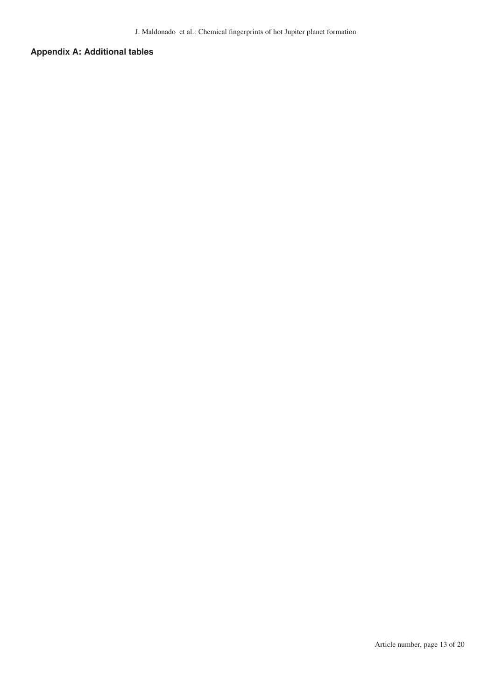# **Appendix A: Additional tables**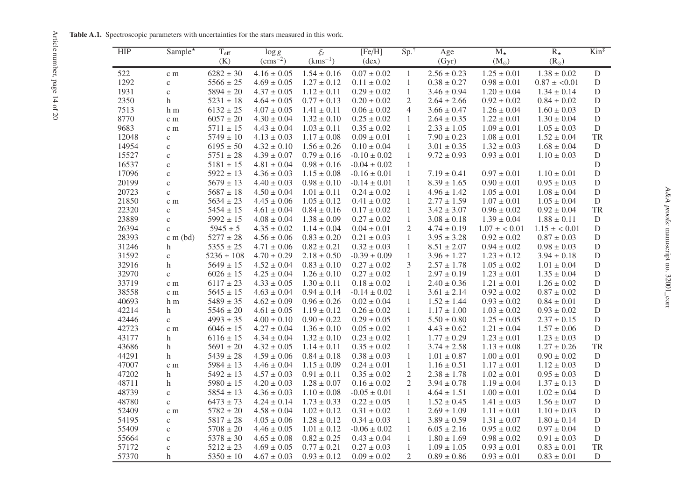Table A.1. Spectroscopic parameters with uncertainties for the stars measured in this work.

<span id="page-13-0"></span>

| <b>HIP</b> | Sample <sup>*</sup> | $T_{\text{eff}}$ | $\xi_t$<br>$\log g$ |                 | [Fe/H]           | $Sp.^{\dagger}$ | Age             | $M_{\star}$             | $R_{\star}$             | $\mathrm{Kin}^{\ddagger}$ |
|------------|---------------------|------------------|---------------------|-----------------|------------------|-----------------|-----------------|-------------------------|-------------------------|---------------------------|
|            |                     | (K)              | $\rm (cms^{-2})$    | $(kms^{-1})$    | $(\text{dex})$   |                 | (Gyr)           | $(M_{\odot})$           | $(R_{\odot})$           |                           |
| 522        | c m                 | $6282 \pm 30$    | $4.16 \pm 0.05$     | $1.54 \pm 0.16$ | $0.07 \pm 0.02$  | 1               | $2.56 \pm 0.23$ | $1.25\pm0.01$           | $1.38 \pm 0.02$         | ${\bf D}$                 |
| 1292       | $\mathbf{C}$        | $5566 \pm 25$    | $4.69 \pm 0.05$     | $1.27 \pm 0.12$ | $0.11 \pm 0.02$  | $\mathbf{1}$    | $0.38 \pm 0.27$ | $0.98 \pm 0.01$         | $0.87 \pm 0.01$         | ${\bf D}$                 |
| 1931       | $\mathbf{C}$        | $5894 \pm 20$    | $4.37 \pm 0.05$     | $1.12 \pm 0.11$ | $0.29 \pm 0.02$  | $\mathbf{1}$    | $3.46 \pm 0.94$ | $1.20 \pm 0.04$         | $1.34 \pm 0.14$         | D                         |
| 2350       | h                   | $5231 \pm 18$    | $4.64 \pm 0.05$     | $0.77 \pm 0.13$ | $0.20 \pm 0.02$  | 2               | $2.64 \pm 2.66$ | $0.92 \pm 0.02$         | $0.84 \pm 0.02$         | ${\bf D}$                 |
| 7513       | h <sub>m</sub>      | $6132 \pm 25$    | $4.07 \pm 0.05$     | $1.41 \pm 0.11$ | $0.06 \pm 0.02$  | 4               | $3.66 \pm 0.47$ | $1.26 \pm 0.04$         | $1.60 \pm 0.03$         | ${\rm D}$                 |
| 8770       | c m                 | $6057 \pm 20$    | $4.30 \pm 0.04$     | $1.32 \pm 0.10$ | $0.25 \pm 0.02$  | 1               | $2.64 \pm 0.35$ | $1.22 \pm 0.01$         | $1.30 \pm 0.04$         | D                         |
| 9683       | c m                 | $5711 \pm 15$    | $4.43 \pm 0.04$     | $1.03 \pm 0.11$ | $0.35 \pm 0.02$  | $\mathbf{1}$    | $2.33 \pm 1.05$ | $1.09 \pm 0.01$         | $1.05 \pm 0.03$         | ${\bf D}$                 |
| 12048      | $\mathbf{C}$        | $5749 \pm 10$    | $4.13 \pm 0.03$     | $1.17 \pm 0.08$ | $0.09 \pm 0.01$  | $\mathbf{1}$    | $7.90 \pm 0.23$ | $1.08 \pm 0.01$         | $1.52 \pm 0.04$         | TR                        |
| 14954      | $\mathbf{C}$        | $6195 \pm 50$    | $4.32 \pm 0.10$     | $1.56 \pm 0.26$ | $0.10 \pm 0.04$  | $\mathbf{1}$    | $3.01 \pm 0.35$ | $1.32 \pm 0.03$         | $1.68 \pm 0.04$         | ${\rm D}$                 |
| 15527      | $\mathbf c$         | $5751 \pm 28$    | $4.39 \pm 0.07$     | $0.79 \pm 0.16$ | $-0.10 \pm 0.02$ | $\mathbf{1}$    | $9.72 \pm 0.93$ | $0.93\pm0.01$           | $1.10 \pm 0.03$         | ${\bf D}$                 |
| 16537      | $\mathbf{C}$        | $5181 \pm 15$    | $4.81 \pm 0.04$     | $0.98 \pm 0.16$ | $-0.04 \pm 0.02$ | $\mathbf{1}$    |                 |                         |                         | $\mathbf D$               |
| 17096      | $\mathbf{C}$        | $5922 \pm 13$    | $4.36 \pm 0.03$     | $1.15 \pm 0.08$ | $-0.16 \pm 0.01$ | $\mathbf{1}$    | $7.19 \pm 0.41$ | $0.97 \pm 0.01$         | $1.10 \pm 0.01$         | ${\bf D}$                 |
| 20199      | $\mathbf{C}$        | $5679 \pm 13$    | $4.40 \pm 0.03$     | $0.98 \pm 0.10$ | $-0.14 \pm 0.01$ | 1               | $8.39 \pm 1.65$ | $0.90 \pm 0.01$         | $0.95\pm0.03$           | $\mathbf D$               |
| 20723      | $\mathbf{C}$        | $5687 \pm 18$    | $4.50 \pm 0.04$     | $1.01 \pm 0.11$ | $0.24 \pm 0.02$  | $\mathbf{1}$    | $4.96 \pm 1.42$ | $1.05 \pm 0.01$         | $1.08 \pm 0.04$         | $\overline{D}$            |
| 21850      | c m                 | $5634 \pm 23$    | $4.45 \pm 0.06$     | $1.05 \pm 0.12$ | $0.41 \pm 0.02$  | $\mathbf{1}$    | $2.77 \pm 1.59$ | $1.07 \pm 0.01$         | $1.05 \pm 0.04$         | $\mathbf D$               |
| 22320      | $\mathbf{C}$        | $5454 \pm 15$    | $4.61 \pm 0.04$     | $0.84 \pm 0.16$ | $0.17 \pm 0.02$  | 1               | $3.42 \pm 3.07$ | $0.96 \pm 0.02$         | $0.92 \pm 0.04$         | TR                        |
| 23889      | $\mathbf{C}$        | $5992 \pm 15$    | $4.08 \pm 0.04$     | $1.38 \pm 0.09$ | $0.27 \pm 0.02$  | $\mathbf{1}$    | $3.08\pm0.18$   | $1.39 \pm 0.04$         | $1.88 \pm 0.11$         | $\mathbf D$               |
| 26394      | $\mathbf{c}$        | $5945 \pm 5$     | $4.35 \pm 0.02$     | $1.14 \pm 0.04$ | $0.04 \pm 0.01$  | $\overline{2}$  | $4.74 \pm 0.19$ | $1.07 \pm \langle 0.01$ | $1.15 \pm \langle 0.01$ | $\mathbf D$               |
| 28393      | $c$ m (bd)          | $5277 \pm 28$    | $4.56 \pm 0.06$     | $0.83 \pm 0.20$ | $0.21 \pm 0.03$  | $\mathbf{1}$    | $3.95 \pm 3.28$ | $0.92 \pm 0.02$         | $0.87 \pm 0.03$         | $\mathbf D$               |
| 31246      | h                   | $5355 \pm 25$    | $4.71 \pm 0.06$     | $0.82 \pm 0.21$ | $0.32 \pm 0.03$  | $\mathbf{1}$    | $8.51 \pm 2.07$ | $0.94 \pm 0.02$         | $0.98 \pm 0.03$         | ${\rm D}$                 |
| 31592      | $\mathbf{C}$        | $5236 \pm 108$   | $4.70 \pm 0.29$     | $2.18 \pm 0.50$ | $-0.39 \pm 0.09$ | $\mathbf{1}$    | $3.96 \pm 1.27$ | $1.23 \pm 0.12$         | $3.94 \pm 0.18$         | $\mathbf D$               |
| 32916      | h                   | $5649 \pm 15$    | $4.52 \pm 0.04$     | $0.83 \pm 0.10$ | $0.27 \pm 0.02$  | 3               | $2.57 \pm 1.78$ | $1.05 \pm 0.02$         | $1.01 \pm 0.04$         | $\mathbf D$               |
| 32970      | $\mathbf{C}$        | $6026 \pm 15$    | $4.25 \pm 0.04$     | $1.26 \pm 0.10$ | $0.27 \pm 0.02$  | $\mathbf{1}$    | $2.97 \pm 0.19$ | $1.23 \pm 0.01$         | $1.35 \pm 0.04$         | D                         |
| 33719      | c m                 | $6117 \pm 23$    | $4.33 \pm 0.05$     | $1.30 \pm 0.11$ | $0.18 \pm 0.02$  | $\mathbf{1}$    | $2.40 \pm 0.36$ | $1.21 \pm 0.01$         | $1.26 \pm 0.02$         | $\mathbf D$               |
| 38558      | c m                 | $5645 \pm 15$    | $4.63 \pm 0.04$     | $0.94 \pm 0.14$ | $-0.14 \pm 0.02$ | $\mathbf{1}$    | $3.61 \pm 2.14$ | $0.92 \pm 0.02$         | $0.87 \pm 0.02$         | $\mathbf D$               |
| 40693      | h m                 | $5489 \pm 35$    | $4.62 \pm 0.09$     | $0.96 \pm 0.26$ | $0.02 \pm 0.04$  | $\mathbf{1}$    | $1.52 \pm 1.44$ | $0.93 \pm 0.02$         | $0.84 \pm 0.01$         | D                         |
| 42214      | h                   | $5546 \pm 20$    | $4.61 \pm 0.05$     | $1.19 \pm 0.12$ | $0.26 \pm 0.02$  | $\mathbf{1}$    | $1.17 \pm 1.00$ | $1.03 \pm 0.02$         | $0.93 \pm 0.02$         | D                         |
| 42446      | $\mathbf{C}$        | $4993 \pm 35$    | $4.00 \pm 0.10$     | $0.90 \pm 0.22$ | $0.29 \pm 0.05$  | $\mathbf{1}$    | $5.50 \pm 0.80$ | $1.25 \pm 0.05$         | $2.37 \pm 0.15$         | ${\rm D}$                 |
| 42723      | c m                 | $6046 \pm 15$    | $4.27 \pm 0.04$     | $1.36 \pm 0.10$ | $0.05 \pm 0.02$  | $\mathbf{1}$    | $4.43 \pm 0.62$ | $1.21 \pm 0.04$         | $1.57 \pm 0.06$         | D                         |
| 43177      | h                   | $6116 \pm 15$    | $4.34 \pm 0.04$     | $1.32 \pm 0.10$ | $0.23 \pm 0.02$  | $\mathbf{1}$    | $1.77 \pm 0.29$ | $1.23 \pm 0.01$         | $1.23 \pm 0.03$         | ${\bf D}$                 |
| 43686      | h                   | $5691 \pm 20$    | $4.32 \pm 0.05$     | $1.14 \pm 0.11$ | $0.35\pm0.02$    | $\mathbf{1}$    | $3.74 \pm 2.58$ | $1.13 \pm 0.08$         | $1.27 \pm 0.26$         | TR                        |
| 44291      | h                   | $5439 \pm 28$    | $4.59 \pm 0.06$     | $0.84 \pm 0.18$ | $0.38 \pm 0.03$  | 1               | $1.01 \pm 0.87$ | $1.00 \pm 0.01$         | $0.90 \pm 0.02$         | D                         |
| 47007      | c m                 | $5984 \pm 13$    | $4.46 \pm 0.04$     | $1.15 \pm 0.09$ | $0.24 \pm 0.01$  | $\mathbf{1}$    | $1.16 \pm 0.51$ | $1.17 \pm 0.01$         | $1.12 \pm 0.03$         | $\mathbf D$               |
| 47202      | h                   | $5492 \pm 13$    | $4.57 \pm 0.03$     | $0.91 \pm 0.11$ | $0.35 \pm 0.02$  | $\overline{c}$  | $2.38 \pm 1.78$ | $1.02 \pm 0.01$         | $0.95 \pm 0.03$         | D                         |
| 48711      | h                   | $5980 \pm 15$    | $4.20 \pm 0.03$     | $1.28 \pm 0.07$ | $0.16 \pm 0.02$  | $\overline{2}$  | $3.94 \pm 0.78$ | $1.19 \pm 0.04$         | $1.37 \pm 0.13$         | D                         |
| 48739      | $\mathbf{C}$        | $5854 \pm 13$    | $4.36 \pm 0.03$     | $1.10 \pm 0.08$ | $-0.05 \pm 0.01$ | 1               | $4.64 \pm 1.51$ | $1.00 \pm 0.01$         | $1.02 \pm 0.04$         | ${\bf D}$                 |
| 48780      | $\mathbf c$         | $6473 \pm 73$    | $4.24 \pm 0.14$     | $1.73 \pm 0.33$ | $0.22 \pm 0.05$  | $\mathbf{1}$    | $1.52 \pm 0.45$ | $1.41 \pm 0.03$         | $1.56 \pm 0.07$         | D                         |
| 52409      | c m                 | $5782 \pm 20$    | $4.58 \pm 0.04$     | $1.02 \pm 0.12$ | $0.31 \pm 0.02$  | $\mathbf{1}$    | $2.69 \pm 1.09$ | $1.11 \pm 0.01$         | $1.10 \pm 0.03$         | D                         |
| 54195      | $\mathbf{C}$        | $5817 \pm 28$    | $4.05 \pm 0.06$     | $1.28 \pm 0.12$ | $0.34 \pm 0.03$  | $\mathbf{1}$    | $3.89 \pm 0.59$ | $1.31 \pm 0.07$         | $1.80 \pm 0.14$         | ${\rm D}$                 |
| 55409      | $\mathbf{C}$        | $5708 \pm 20$    | $4.46 \pm 0.05$     | $1.01 \pm 0.12$ | $-0.06 \pm 0.02$ | $\mathbf{1}$    | $6.05 \pm 2.16$ | $0.95 \pm 0.02$         | $0.97 \pm 0.04$         | ${\rm D}$                 |
| 55664      | $\mathbf{C}$        | $5378 \pm 30$    | $4.65 \pm 0.08$     | $0.82 \pm 0.25$ | $0.43 \pm 0.04$  | $\mathbf{1}$    | $1.80 \pm 1.69$ | $0.98 \pm 0.02$         | $0.91 \pm 0.03$         | $\mathbf D$               |
| 57172      | $\mathbf c$         | $5212 \pm 23$    | $4.69 \pm 0.05$     | $0.77 \pm 0.21$ | $0.27 \pm 0.03$  | $\mathbf{1}$    | $1.09 \pm 1.05$ | $0.93 \pm 0.01$         | $0.83 \pm 0.01$         | TR                        |
| 57370      | h                   | $5350 \pm 10$    | $4.67 \pm 0.03$     | $0.93 \pm 0.12$ | $0.09 \pm 0.02$  | 2               | $0.89 \pm 0.86$ | $0.93 \pm 0.01$         | $0.83 \pm 0.01$         | D                         |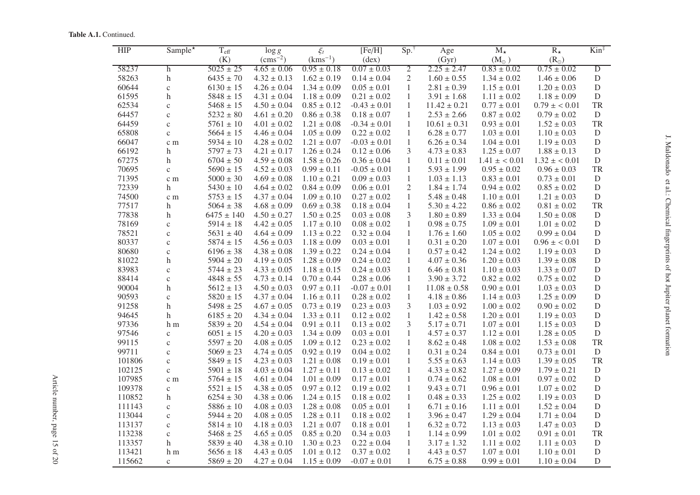Table A.1. Continued.

| <b>HIP</b> | Sample*                   | $T_{\rm eff}$  | $\log g$         | $\xi_t$         | [Fe/H]           | Sp.            | Age              | $M_{\star}$     | $R_{\star}$     | $Kin^{\ddagger}$ |
|------------|---------------------------|----------------|------------------|-----------------|------------------|----------------|------------------|-----------------|-----------------|------------------|
|            |                           | (K)            | $\rm (cms^{-2})$ | $(kms^{-1})$    | $(\text{dex})$   |                | (Gyr)            | $(M_{\odot})$   | $(R_{\odot})$   |                  |
| 58237      | $\mathbf h$               | $5025 \pm 25$  | $4.65 \pm 0.06$  | $0.95 \pm 0.18$ | $0.07 \pm 0.03$  | $\overline{2}$ | $2.25 \pm 2.47$  | $0.83 \pm 0.02$ | $0.75 \pm 0.02$ | $\overline{D}$   |
| 58263      | $\boldsymbol{\mathrm{h}}$ | $6435 \pm 70$  | $4.32 \pm 0.13$  | $1.62 \pm 0.19$ | $0.14 \pm 0.04$  | $\overline{2}$ | $1.60 \pm 0.55$  | $1.34 \pm 0.02$ | $1.46 \pm 0.06$ | $\mathbf D$      |
| 60644      | $\mathbf{C}$              | $6130 \pm 15$  | $4.26 \pm 0.04$  | $1.34 \pm 0.09$ | $0.05 \pm 0.01$  | 1              | $2.81 \pm 0.39$  | $1.15 \pm 0.01$ | $1.20 \pm 0.03$ | $\mathbf D$      |
| 61595      | $\boldsymbol{\text{h}}$   | $5848 \pm 15$  | $4.31 \pm 0.04$  | $1.18 \pm 0.09$ | $0.21\pm0.02$    | $\mathbf{1}$   | $3.91 \pm 1.68$  | $1.11 \pm 0.02$ | $1.18 \pm 0.09$ | $\mathbf D$      |
| 62534      | $\mathbf{C}$              | $5468 \pm 15$  | $4.50 \pm 0.04$  | $0.85 \pm 0.12$ | $-0.43 \pm 0.01$ | 1              | $11.42\pm0.21$   | $0.77 \pm 0.01$ | $0.79 \pm 0.01$ | TR               |
| 64457      | $\mathbf{c}$              | $5232 \pm 80$  | $4.61 \pm 0.20$  | $0.86 \pm 0.38$ | $0.18 \pm 0.07$  | $\mathbf{1}$   | $2.53 \pm 2.66$  | $0.87 \pm 0.02$ | $0.79 \pm 0.02$ | $\mathbf D$      |
| 64459      | $\mathbf c$               | $5761 \pm 10$  | $4.01 \pm 0.02$  | $1.21 \pm 0.08$ | $-0.34 \pm 0.01$ | 1              | $10.61 \pm 0.31$ | $0.93 \pm 0.01$ | $1.52 \pm 0.03$ | TR               |
| 65808      | $\mathbf c$               | $5664 \pm 15$  | $4.46 \pm 0.04$  | $1.05 \pm 0.09$ | $0.22 \pm 0.02$  | $\mathbf{1}$   | $6.28 \pm 0.77$  | $1.03 \pm 0.01$ | $1.10 \pm 0.03$ | D                |
| 66047      | c m                       | $5934 \pm 10$  | $4.28 \pm 0.02$  | $1.21 \pm 0.07$ | $-0.03 \pm 0.01$ | $\mathbf{1}$   | $6.26 \pm 0.34$  | $1.04 \pm 0.01$ | $1.19 \pm 0.03$ | ${\rm D}$        |
| 66192      | h                         | $5797 \pm 73$  | $4.21 \pm 0.17$  | $1.26 \pm 0.24$ | $0.12 \pm 0.06$  | 3              | $4.73 \pm 0.83$  | $1.25 \pm 0.07$ | $1.88 \pm 0.13$ | $\mathbf D$      |
| 67275      | $\mathbf h$               | $6704 \pm 50$  | $4.59 \pm 0.08$  | $1.58 \pm 0.26$ | $0.36 \pm 0.04$  | $\mathbf{1}$   | $0.11 \pm 0.01$  | $1.41 \pm 0.01$ | $1.32 \pm 0.01$ | $\mathbf D$      |
| 70695      | $\rm{c}$                  | $5690 \pm 15$  | $4.52 \pm 0.03$  | $0.99 \pm 0.11$ | $-0.05 \pm 0.01$ | $\mathbf{1}$   | $5.93 \pm 1.99$  | $0.95 \pm 0.02$ | $0.96 \pm 0.03$ | <b>TR</b>        |
| 71395      | c m                       | $5000 \pm 30$  | $4.69 \pm 0.08$  | $1.10 \pm 0.21$ | $0.09 \pm 0.03$  | $\mathbf{1}$   | $1.03 \pm 1.13$  | $0.83 \pm 0.01$ | $0.73 \pm 0.01$ | D                |
| 72339      | $\boldsymbol{\mathrm{h}}$ | $5430 \pm 10$  | $4.64 \pm 0.02$  | $0.84 \pm 0.09$ | $0.06 \pm 0.01$  | $\mathbf{2}$   | $1.84 \pm 1.74$  | $0.94 \pm 0.02$ | $0.85 \pm 0.02$ | $\mathbf D$      |
| 74500      | c m                       | $5753\pm15$    | $4.37 \pm 0.04$  | $1.09 \pm 0.10$ | $0.27\pm0.02$    | 1              | $5.48 \pm 0.48$  | $1.10 \pm 0.01$ | $1.21\pm0.03$   | D                |
| 77517      | $\mathbf h$               | $5064 \pm 38$  | $4.68 \pm 0.09$  | $0.69 \pm 0.38$ | $0.18 \pm 0.04$  | $\mathbf{1}$   | $5.30 \pm 4.22$  | $0.86 \pm 0.02$ | $0.81 \pm 0.02$ | TR               |
| 77838      | $\boldsymbol{\mathrm{h}}$ | $6475 \pm 140$ | $4.50 \pm 0.27$  | $1.50 \pm 0.25$ | $0.03 \pm 0.08$  | 3              | $1.80 \pm 0.89$  | $1.33 \pm 0.04$ | $1.50 \pm 0.08$ | $\mathbf D$      |
| 78169      | $\mathbf{C}$              | $5914 \pm 18$  | $4.42 \pm 0.05$  | $1.17 \pm 0.10$ | $0.08 \pm 0.02$  | 1              | $0.98 \pm 0.75$  | $1.09 \pm 0.01$ | $1.01 \pm 0.02$ | $\mathbf D$      |
| 78521      | $\mathbf{C}$              | $5631 \pm 40$  | $4.64 \pm 0.09$  | $1.13 \pm 0.22$ | $0.32 \pm 0.04$  | $\mathbf{1}$   | $1.76 \pm 1.60$  | $1.05 \pm 0.02$ | $0.99 \pm 0.04$ | $\mathbf D$      |
| 80337      | $\mathbf{C}$              | $5874 \pm 15$  | $4.56 \pm 0.03$  | $1.18 \pm 0.09$ | $0.03 \pm 0.01$  | 1              | $0.31 \pm 0.20$  | $1.07 \pm 0.01$ | $0.96 \pm 0.01$ | $\mathbf D$      |
| 80680      | $\mathbf{C}$              | $6196 \pm 38$  | $4.38 \pm 0.08$  | $1.39 \pm 0.22$ | $0.24 \pm 0.04$  | $\mathbf{1}$   | $0.57 \pm 0.42$  | $1.24 \pm 0.02$ | $1.19 \pm 0.03$ | $\mathbf D$      |
| 81022      | h                         | $5904 \pm 20$  | $4.19 \pm 0.05$  | $1.28 \pm 0.09$ | $0.24 \pm 0.02$  | $\mathbf{1}$   | $4.07 \pm 0.36$  | $1.20 \pm 0.03$ | $1.39 \pm 0.08$ | ${\rm D}$        |
| 83983      | $\mathbf{C}$              | $5744 \pm 23$  | $4.33 \pm 0.05$  | $1.18 \pm 0.15$ | $0.24 \pm 0.03$  | 1              | $6.46 \pm 0.81$  | $1.10 \pm 0.03$ | $1.33 \pm 0.07$ | D                |
| 88414      | $\mathbf c$               | $4848 \pm 55$  | $4.73 \pm 0.14$  | $0.70 \pm 0.44$ | $0.28 \pm 0.06$  | $\mathbf{1}$   | $3.90 \pm 3.72$  | $0.82 \pm 0.02$ | $0.75 \pm 0.02$ | $\overline{D}$   |
| 90004      | $\boldsymbol{\mathrm{h}}$ | $5612 \pm 13$  | $4.50 \pm 0.03$  | $0.97 \pm 0.11$ | $-0.07\pm0.01$   | $\mathbf{1}$   | $11.08 \pm 0.58$ | $0.90 \pm 0.01$ | $1.03 \pm 0.03$ | $\mathbf D$      |
| 90593      | $\mathbf{C}$              | $5820 \pm 15$  | $4.37 \pm 0.04$  | $1.16 \pm 0.11$ | $0.28 \pm 0.02$  | $\mathbf{1}$   | $4.18 \pm 0.86$  | $1.14 \pm 0.03$ | $1.25 \pm 0.09$ | D                |
| 91258      | $\boldsymbol{\text{h}}$   | $5498 \pm 25$  | $4.67 \pm 0.05$  | $0.73 \pm 0.19$ | $0.23 \pm 0.03$  | 3              | $1.03 \pm 0.92$  | $1.00 \pm 0.02$ | $0.90 \pm 0.02$ | ${\rm D}$        |
| 94645      | h                         | $6185 \pm 20$  | $4.34 \pm 0.04$  | $1.33 \pm 0.11$ | $0.12 \pm 0.02$  | $\mathbf{1}$   | $1.42 \pm 0.58$  | $1.20 \pm 0.01$ | $1.19 \pm 0.03$ | $\mathbf D$      |
| 97336      | h m                       | $5839 \pm 20$  | $4.54 \pm 0.04$  | $0.91 \pm 0.11$ | $0.13 \pm 0.02$  | 3              | $5.17 \pm 0.71$  | $1.07 \pm 0.01$ | $1.15 \pm 0.03$ | $\mathbf D$      |
| 97546      | $\rm{c}$                  | $6051 \pm 15$  | $4.20 \pm 0.03$  | $1.34 \pm 0.09$ | $0.03 \pm 0.01$  | $\mathbf{1}$   | $4.57 \pm 0.37$  | $1.12 \pm 0.01$ | $1.28 \pm 0.05$ | $\mathbf D$      |
| 99115      | $\mathbf{C}$              | $5597 \pm 20$  | $4.08 \pm 0.05$  | $1.09 \pm 0.12$ | $0.23 \pm 0.02$  | $\mathbf{1}$   | $8.62 \pm 0.48$  | $1.08 \pm 0.02$ | $1.53 \pm 0.08$ | TR               |
| 99711      | $\mathbf c$               | $5069 \pm 23$  | $4.74\pm0.05$    | $0.92 \pm 0.19$ | $0.04 \pm 0.02$  | $\mathbf{1}$   | $0.31 \pm 0.24$  | $0.84 \pm 0.01$ | $0.73 \pm 0.01$ | D                |
| 101806     | $\mathbf{c}$              | $5849 \pm 15$  | $4.23 \pm 0.03$  | $1.21 \pm 0.08$ | $0.19 \pm 0.01$  | $\mathbf{1}$   | $5.55 \pm 0.63$  | $1.14 \pm 0.03$ | $1.39 \pm 0.05$ | <b>TR</b>        |
| 102125     | $\mathbf{C}$              | $5901 \pm 18$  | $4.03 \pm 0.04$  | $1.27 \pm 0.11$ | $0.13 \pm 0.02$  | $\mathbf{1}$   | $4.33 \pm 0.82$  | $1.27 \pm 0.09$ | $1.79 \pm 0.21$ | $\mathbf D$      |
| 107985     | c m                       | $5764 \pm 15$  | $4.61 \pm 0.04$  | $1.01 \pm 0.09$ | $0.17 \pm 0.01$  | $\mathbf{1}$   | $0.74 \pm 0.62$  | $1.08 \pm 0.01$ | $0.97 \pm 0.02$ | $\mathbf D$      |
| 109378     | $\mathbf c$               | $5521 \pm 15$  | $4.38 \pm 0.05$  | $0.97 \pm 0.12$ | $0.19 \pm 0.02$  | $\mathbf{1}$   | $9.43 \pm 0.71$  | $0.96 \pm 0.01$ | $1.07 \pm 0.02$ | $\mathbf D$      |
| 110852     | $\boldsymbol{\mathrm{h}}$ | $6254 \pm 30$  | $4.38 \pm 0.06$  | $1.24 \pm 0.15$ | $0.18 \pm 0.02$  | 1              | $0.48\pm0.33$    | $1.25 \pm 0.02$ | $1.19 \pm 0.03$ | $\overline{D}$   |
| 111143     | $\mathbf c$               | $5886 \pm 10$  | $4.08 \pm 0.03$  | $1.28 \pm 0.08$ | $0.05 \pm 0.01$  | $\mathbf{1}$   | $6.71 \pm 0.16$  | $1.11 \pm 0.01$ | $1.52 \pm 0.04$ | $\mathbf D$      |
| 113044     | $\mathbf{C}$              | $5944 \pm 20$  | $4.08 \pm 0.05$  | $1.28 \pm 0.11$ | $0.18 \pm 0.02$  | $\mathbf{1}$   | $3.96 \pm 0.47$  | $1.29 \pm 0.04$ | $1.71 \pm 0.04$ | $\mathbf D$      |
| 113137     | $\mathbf c$               | $5814 \pm 10$  | $4.18 \pm 0.03$  | $1.21 \pm 0.07$ | $0.18 \pm 0.01$  | $\mathbf{1}$   | $6.32 \pm 0.72$  | $1.13 \pm 0.03$ | $1.47 \pm 0.03$ | $\mathbf D$      |
| 113238     | $\rm{c}$                  | $5468 \pm 25$  | $4.65 \pm 0.05$  | $0.85 \pm 0.20$ | $0.34 \pm 0.03$  | $\mathbf{1}$   | $1.14 \pm 0.99$  | $1.01\pm0.02$   | $0.91 \pm 0.01$ | TR               |
| 113357     | h                         | $5839 \pm 40$  | $4.38 \pm 0.10$  | $1.30 \pm 0.23$ | $0.22 \pm 0.04$  | $\mathbf{1}$   | $3.17 \pm 1.32$  | $1.11 \pm 0.02$ | $1.11 \pm 0.03$ | D                |
| 113421     | h m                       | $5656 \pm 18$  | $4.43 \pm 0.05$  | $1.01 \pm 0.12$ | $0.37 \pm 0.02$  | $\mathbf{1}$   | $4.43 \pm 0.57$  | $1.07 \pm 0.01$ | $1.10 \pm 0.01$ | $\mathbf D$      |
| 115662     | $\mathbf{C}$              | $5869 \pm 20$  | $4.27 \pm 0.04$  | $1.15 \pm 0.09$ | $-0.07 \pm 0.01$ | $\mathbf{1}$   | $6.75 \pm 0.88$  | $0.99 \pm 0.01$ | $1.10 \pm 0.04$ | $\mathbf D$      |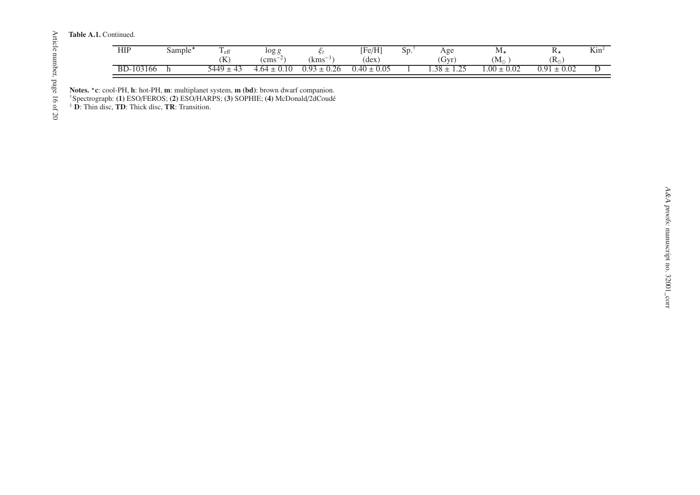Table A.1. Continued.

| <b>HIP</b> | Sample* | $-$ e <sub>L</sub> | $\log g$                         |              | [Fe/H]         | Sp. | Age                                  | Μ,                | 17,                  | $Kin$ <sup><math>\ddagger</math></sup> |
|------------|---------|--------------------|----------------------------------|--------------|----------------|-----|--------------------------------------|-------------------|----------------------|----------------------------------------|
|            |         | (K                 | $\sim$<br>$\rm cm s^{-2}$        | --<br>kms    | (dex)          |     | 'Gyr)                                | $\rm (M_{\odot}$  | $(R_{\odot})$        |                                        |
| BD-103166  |         | $5449 +$<br>ு ⊿ு   | $\overline{10}$<br>-64<br>v. 1 v | 0.93<br>0.26 | 0.40<br>: 0.05 |     | $38 +$<br>$\cap \subset$<br>$\cdots$ | .00<br>$\pm~0.02$ | 0.02<br>$\Omega$ 0.1 |                                        |

Article number, page 16 of 20 Article number, page 16 of 20

Notes. \* c: cool-PH, h: hot-PH, m: multiplanet system, m (bd): brown dwarf companion.

†Spectrograph: (1) ESO/FEROS; (2) ESO/HARPS; (3) SOPHIE; (4) McDonald/2dCoudé ‡ D: Thin disc, TD: Thick disc, TR: Transition.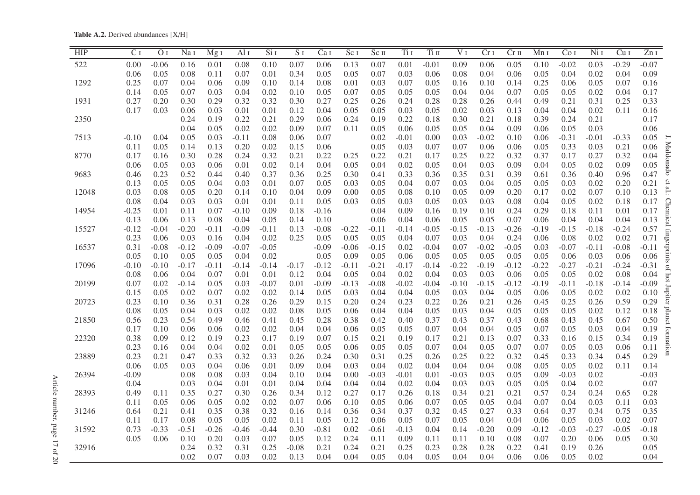<span id="page-16-0"></span>Table A.2. Derived abundances [X/H]

| HIP   | C <sub>I</sub> | $\overline{O}$ <sub>I</sub> | Na <sub>I</sub> | Mg <sub>I</sub> | Al <sub>I</sub> | Si <sub>I</sub> | $\overline{S}$ <sub>I</sub> | Ca <sub>I</sub> | Sc <sub>I</sub> | Sc <sub>II</sub> | Ti I    | Ti II   | V <sub>I</sub> | Cr <sub>I</sub> | Cr <sub>II</sub> | Mn I    | Co <sub>I</sub> | NiI     | Cu <sub>I</sub> | ZnI                     |
|-------|----------------|-----------------------------|-----------------|-----------------|-----------------|-----------------|-----------------------------|-----------------|-----------------|------------------|---------|---------|----------------|-----------------|------------------|---------|-----------------|---------|-----------------|-------------------------|
| 522   | 0.00           | $-0.06$                     | 0.16            | 0.01            | 0.08            | 0.10            | 0.07                        | 0.06            | 0.13            | 0.07             | 0.01    | $-0.01$ | 0.09           | 0.06            | 0.05             | 0.10    | $-0.02$         | 0.03    | $-0.29$         | $-0.07$                 |
|       | 0.06           | 0.05                        | 0.08            | 0.11            | 0.07            | 0.01            | 0.34                        | 0.05            | 0.05            | 0.07             | 0.03    | 0.06    | 0.08           | 0.04            | 0.06             | 0.05    | 0.04            | 0.02    | 0.04            | 0.09                    |
| 1292  | 0.25           | 0.07                        | 0.04            | 0.06            | 0.09            | 0.10            | 0.14                        | 0.08            | 0.01            | 0.03             | 0.07    | 0.05    | 0.16           | 0.10            | 0.14             | 0.25    | 0.06            | 0.05    | 0.07            | 0.16                    |
|       | 0.14           | 0.05                        | 0.07            | 0.03            | 0.04            | 0.02            | 0.10                        | 0.05            | 0.07            | 0.05             | 0.05    | 0.05    | 0.04           | 0.04            | 0.07             | 0.05    | 0.05            | 0.02    | 0.04            | 0.17                    |
| 1931  | 0.27           | 0.20                        | 0.30            | 0.29            | 0.32            | 0.32            | 0.30                        | 0.27            | 0.25            | 0.26             | 0.24    | 0.28    | 0.28           | 0.26            | 0.44             | 0.49    | 0.21            | 0.31    | 0.25            | 0.33                    |
|       | 0.17           | 0.03                        | 0.06            | 0.03            | 0.01            | 0.01            | 0.12                        | 0.04            | 0.05            | 0.05             | 0.03    | 0.05    | 0.02           | 0.03            | 0.13             | 0.04    | 0.04            | 0.02    | 0.11            | 0.16                    |
| 2350  |                |                             | 0.24            | 0.19            | 0.22            | 0.21            | 0.29                        | 0.06            | 0.24            | 0.19             | 0.22    | 0.18    | 0.30           | 0.21            | 0.18             | 0.39    | 0.24            | 0.21    |                 | 0.17                    |
|       |                |                             | 0.04            | 0.05            | 0.02            | 0.02            | 0.09                        | 0.07            | 0.11            | 0.05             | 0.06    | 0.05    | 0.05           | 0.04            | 0.09             | 0.06    | 0.05            | 0.03    |                 | 0.06                    |
| 7513  | $-0.10$        | 0.04                        | 0.05            | 0.03            | $-0.11$         | 0.08            | 0.06                        | 0.07            |                 | 0.02             | $-0.01$ | 0.00    | 0.03           | $-0.02$         | 0.10             | 0.06    | $-0.31$         | $-0.01$ | $-0.33$         | 0.05                    |
|       | 0.11           | 0.05                        | 0.14            | 0.13            | 0.20            | 0.02            | 0.15                        | 0.06            |                 | 0.05             | 0.03    | 0.07    | 0.07           | 0.06            | 0.06             | 0.05    | 0.33            | 0.03    | 0.21            | 0.06                    |
| 8770  | 0.17           | 0.16                        | 0.30            | 0.28            | 0.24            | 0.32            | 0.21                        | 0.22            | 0.25            | 0.22             | 0.21    | 0.17    | 0.25           | 0.22            | 0.32             | 0.37    | 0.17            | 0.27    | 0.32            | Maldonado<br>0.04       |
|       | 0.06           | 0.05                        | 0.03            | 0.06            | 0.01            | 0.02            | 0.14                        | 0.04            | 0.05            | 0.04             | 0.02    | 0.05    | 0.04           | 0.03            | 0.09             | 0.04    | 0.05            | 0.02    | 0.09            | 0.05                    |
| 9683  | 0.46           | 0.23                        | 0.52            | 0.44            | 0.40            | 0.37            | 0.36                        | 0.25            | 0.30            | 0.41             | 0.33    | 0.36    | 0.35           | 0.31            | 0.39             | 0.61    | 0.36            | 0.40    | 0.96            | 0.47                    |
|       | 0.13           | 0.05                        | 0.05            | 0.04            | 0.03            | 0.01            | 0.07                        | 0.05            | 0.03            | 0.05             | 0.04    | 0.07    | 0.03           | 0.04            | 0.05             | 0.05    | 0.03            | 0.02    | 0.20            | 0.21                    |
| 12048 | 0.03           | 0.08                        | 0.05            | 0.20            | 0.14            | 0.10            | 0.04                        | 0.09            | 0.00            | 0.05             | 0.08    | 0.10    | 0.05           | 0.09            | 0.20             | 0.17    | 0.02            | 0.07    | 0.10            | et al.:<br>0.13         |
|       | 0.08           | 0.04                        | 0.03            | 0.03            | 0.01            | 0.01            | 0.11                        | 0.05            | 0.03            | 0.05             | 0.03    | 0.05    | 0.03           | 0.03            | 0.08             | 0.04    | 0.05            | 0.02    | 0.18            | 0.17                    |
| 14954 | $-0.25$        | 0.01                        | 0.11            | 0.07            | $-0.10$         | 0.09            | 0.18                        | $-0.16$         |                 | 0.04             | 0.09    | 0.16    | 0.19           | 0.10            | 0.24             | 0.29    | 0.18            | 0.11    | 0.01            | 0.17                    |
|       | 0.13           | 0.06                        | 0.13            | 0.08            | 0.04            | 0.05            | 0.14                        | 0.10            |                 | 0.06             | 0.04    | 0.06    | 0.05           | 0.05            | 0.07             | 0.06    | 0.04            | 0.04    | 0.04            | Chemical<br>0.13        |
| 15527 | $-0.12$        | $-0.04$                     | $-0.20$         | $-0.11$         | $-0.09$         | $-0.11$         | 0.13                        | $-0.08$         | $-0.22$         | $-0.11$          | $-0.14$ | $-0.05$ | $-0.15$        | $-0.13$         | $-0.26$          | $-0.19$ | $-0.15$         | $-0.18$ | $-0.24$         | 0.57                    |
|       | 0.23           | 0.06                        | 0.03            | 0.16            | 0.04            | 0.02            | 0.25                        | 0.05            | 0.05            | 0.05             | 0.04    | 0.07    | 0.03           | 0.04            | 0.24             | 0.06    | 0.08            | 0.02    | 0.02            | 0.71                    |
| 16537 | 0.31           | $-0.08$                     | $-0.12$         | $-0.09$         | $-0.07$         | $-0.05$         |                             | $-0.09$         | $-0.06$         | $-0.15$          | 0.02    | $-0.04$ | 0.07           | $-0.02$         | $-0.05$          | 0.03    | $-0.07$         | $-0.11$ | $-0.08$         | tingerprints<br>$-0.11$ |
|       | 0.05           | 0.10                        | 0.05            | 0.05            | 0.04            | 0.02            |                             | 0.05            | 0.09            | 0.05             | 0.06    | 0.05    | 0.05           | 0.05            | 0.05             | 0.05    | 0.06            | 0.03    | 0.06            | 0.06                    |
| 17096 | $-0.10$        | $-0.10$                     | $-0.17$         | $-0.11$         | $-0.14$         | $-0.14$         | $-0.17$                     | $-0.12$         | $-0.11$         | $-0.21$          | $-0.17$ | $-0.14$ | $-0.22$        | $-0.19$         | $-0.12$          | $-0.22$ | $-0.27$         | $-0.21$ | $-0.24$         | $-0.31$<br>$\Omega$     |
|       | 0.08           | 0.06                        | 0.04            | 0.07            | 0.01            | 0.01            | 0.12                        | 0.04            | 0.05            | 0.04             | 0.02    | 0.04    | 0.03           | 0.03            | 0.06             | 0.05    | 0.05            | 0.02    | 0.08            | 0.04                    |
| 20199 | 0.07           | 0.02                        | $-0.14$         | 0.05            | 0.03            | $-0.07$         | 0.01                        | $-0.09$         | $-0.13$         | $-0.08$          | $-0.02$ | $-0.04$ | $-0.10$        | $-0.15$         | $-0.12$          | $-0.19$ | $-0.11$         | $-0.18$ | $-0.14$         | hot Jupiter<br>$-0.09$  |
|       | 0.15           | 0.05                        | 0.02            | 0.07            | 0.02            | 0.02            | 0.14                        | 0.05            | 0.03            | 0.04             | 0.04    | 0.05    | 0.03           | 0.04            | 0.05             | 0.06    | 0.05            | 0.02    | 0.02            | 0.10                    |
| 20723 | 0.23           | 0.10                        | 0.36            | 0.31            | 0.28            | 0.26            | 0.29                        | 0.15            | 0.20            | 0.24             | 0.23    | 0.22    | 0.26           | 0.21            | 0.26             | 0.45    | 0.25            | 0.26    | 0.59            | 0.29                    |
|       | 0.08           | 0.05                        | 0.04            | 0.03            | 0.02            | 0.02            | 0.08                        | 0.05            | 0.06            | 0.04             | 0.04    | 0.05    | 0.03           | 0.04            | 0.05             | 0.05    | 0.05            | 0.02    | 0.12            | planet<br>0.18          |
| 21850 | 0.56           | 0.23                        | 0.54            | 0.49            | 0.46            | 0.41            | 0.45                        | 0.28            | 0.38            | 0.42             | 0.40    | 0.37    | 0.43           | 0.37            | 0.43             | 0.68    | 0.43            | 0.45    | 0.67            | 0.50                    |
|       | 0.17           | 0.10                        | 0.06            | 0.06            | 0.02            | 0.02            | 0.04                        | 0.04            | 0.06            | 0.05             | 0.05    | 0.07    | 0.04           | 0.04            | 0.05             | 0.07    | 0.05            | 0.03    | 0.04            | 0.19                    |
| 22320 | 0.38           | 0.09                        | 0.12            | 0.19            | 0.23            | 0.17            | 0.19                        | 0.07            | 0.15            | 0.21             | 0.19    | 0.17    | 0.21           | 0.13            | 0.07             | 0.33    | 0.16            | 0.15    | 0.34            | tornation<br>0.19       |
|       | 0.23           | 0.16                        | 0.04            | 0.04            | 0.02            | 0.01            | 0.05                        | 0.05            | 0.06            | 0.05             | 0.05    | 0.07    | 0.04           | 0.05            | 0.07             | 0.07    | 0.05            | 0.03    | 0.06            | 0.11                    |
| 23889 | 0.23           | 0.21                        | 0.47            | 0.33            | 0.32            | 0.33            | 0.26                        | 0.24            | 0.30            | 0.31             | 0.25    | 0.26    | 0.25           | 0.22            | 0.32             | 0.45    | 0.33            | 0.34    | 0.45            | 0.29                    |
|       | 0.06           | 0.05                        | 0.03            | 0.04            | 0.06            | 0.01            | 0.09                        | 0.04            | 0.03            | 0.04             | 0.02    | 0.04    | 0.04           | 0.04            | 0.08             | 0.05    | 0.05            | 0.02    | 0.11            | 0.14                    |
| 26394 | $-0.09$        |                             | 0.08            | 0.08            | 0.03            | 0.04            | 0.10                        | 0.04            | 0.00            | $-0.03$          | $-0.01$ | 0.01    | $-0.03$        | 0.03            | 0.05             | 0.09    | $-0.03$         | 0.02    |                 | $-0.03$                 |
|       | 0.04           |                             | 0.03            | 0.04            | 0.01            | 0.01            | 0.04                        | 0.04            | 0.04            | 0.04             | 0.02    | 0.04    | 0.03           | 0.03            | 0.05             | 0.05    | 0.04            | 0.02    |                 | 0.07                    |
| 28393 | 0.49           | 0.11                        | 0.35            | 0.27            | 0.30            | 0.26            | 0.34                        | 0.12            | 0.27            | 0.17             | 0.26    | 0.18    | 0.34           | 0.21            | 0.21             | 0.57    | 0.24            | 0.24    | 0.65            | 0.28                    |
|       | 0.11           | 0.05                        | 0.06            | 0.05            | 0.02            | 0.02            | 0.07                        | 0.06            | 0.10            | 0.05             | 0.06    | 0.07    | 0.05           | 0.05            | 0.04             | 0.07    | 0.04            | 0.03    | 0.11            | 0.03                    |
| 31246 | 0.64           | 0.21                        | 0.41            | 0.35            | 0.38            | 0.32            | 0.16                        | 0.14            | 0.36            | 0.34             | 0.37    | 0.32    | 0.45           | 0.27            | 0.33             | 0.64    | 0.37            | 0.34    | 0.75            | 0.35                    |
|       | 0.11           | 0.17                        | 0.08            | 0.05            | 0.05            | 0.02            | 0.11                        | 0.05            | 0.12            | 0.06             | 0.05    | 0.07    | 0.05           | 0.04            | 0.04             | 0.06    | 0.05            | 0.03    | 0.02            | 0.07                    |
| 31592 | 0.73           | $-0.33$                     | $-0.51$         | $-0.26$         | $-0.46$         | $-0.44$         | 0.30                        | $-0.81$         | 0.02            | $-0.61$          | $-0.13$ | 0.04    | 0.14           | $-0.20$         | 0.09             | $-0.12$ | $-0.03$         | $-0.27$ | $-0.05$         | $-0.18$                 |
|       | 0.05           | 0.06                        | 0.10            | 0.20            | 0.03            | 0.07            | 0.05                        | 0.12            | 0.24            | 0.11             | 0.09    | 0.11    | 0.11           | 0.10            | 0.08             | 0.07    | 0.20            | 0.06    | 0.05            | 0.30                    |
| 32916 |                |                             | 0.24            | 0.32            | 0.31            | 0.25            | $-0.08$                     | 0.21            | 0.24            | 0.21             | 0.25    | 0.23    | 0.28           | 0.28            | 0.22             | 0.41    | 0.19            | 0.26    |                 | 0.05                    |
|       |                |                             | 0.02            | 0.07            | 0.03            | 0.02            | 0.13                        | 0.04            | 0.04            | 0.05             | 0.04    | 0.05    | 0.04           | 0.04            | 0.06             | 0.06    | 0.05            | 0.02    |                 | 0.04                    |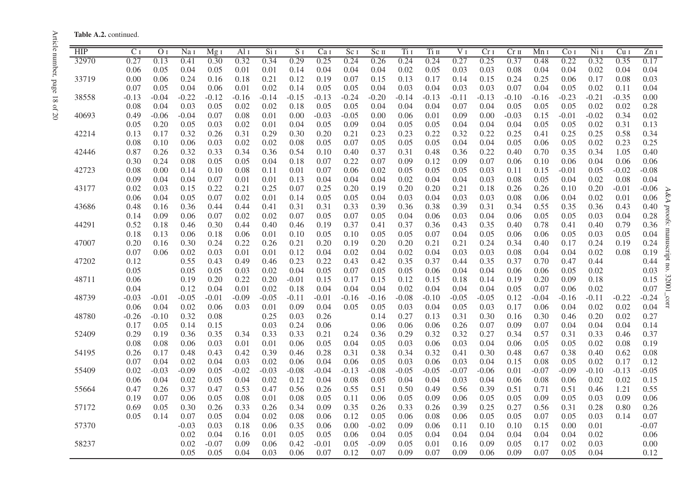|  | <b>Table A.2.</b> continued. |
|--|------------------------------|
|  |                              |

| <b>HIP</b> | C I     | O <sub>I</sub> | Na 1    | Mg I    | Al 1    | Si <sub>I</sub> | S <sub>I</sub> | Ca <sub>I</sub> | Sc <sub>I</sub> | $Sc$ II | Ti i    | Ti II   | $\overline{V}$ I | Cr <sub>I</sub> | Cr <sub>II</sub> | Mn 1    | Co i    | $Ni$ I  | Cu <sub>I</sub> | ZnI     |
|------------|---------|----------------|---------|---------|---------|-----------------|----------------|-----------------|-----------------|---------|---------|---------|------------------|-----------------|------------------|---------|---------|---------|-----------------|---------|
| 32970      | 0.27    | 0.13           | 0.41    | 0.30    | 0.32    | 0.34            | 0.29           | 0.25            | 0.24            | 0.26    | 0.24    | 0.24    | 0.27             | 0.25            | 0.37             | 0.48    | 0.22    | 0.32    | 0.35            | 0.17    |
|            | 0.06    | 0.05           | 0.04    | 0.05    | 0.01    | 0.01            | 0.14           | 0.04            | 0.04            | 0.04    | 0.02    | 0.05    | 0.03             | 0.03            | 0.08             | 0.04    | 0.04    | 0.02    | 0.04            | 0.04    |
| 33719      | 0.00    | 0.06           | 0.24    | 0.16    | 0.18    | 0.21            | 0.12           | 0.19            | 0.07            | 0.15    | 0.13    | 0.17    | 0.14             | 0.15            | 0.24             | 0.25    | 0.06    | 0.17    | 0.08            | 0.03    |
|            | 0.07    | 0.05           | 0.04    | 0.06    | 0.01    | 0.02            | 0.14           | 0.05            | 0.05            | 0.04    | 0.03    | 0.04    | 0.03             | 0.03            | 0.07             | 0.04    | 0.05    | 0.02    | 0.11            | 0.04    |
| 38558      | $-0.13$ | $-0.04$        | $-0.22$ | $-0.12$ | $-0.16$ | $-0.14$         | $-0.15$        | $-0.13$         | $-0.24$         | $-0.20$ | $-0.14$ | $-0.13$ | $-0.11$          | $-0.13$         | $-0.10$          | $-0.16$ | $-0.23$ | $-0.21$ | $-0.35$         | 0.00    |
|            | 0.08    | 0.04           | 0.03    | 0.05    | 0.02    | 0.02            | 0.18           | 0.05            | 0.05            | 0.04    | 0.04    | 0.04    | 0.07             | 0.04            | 0.05             | 0.05    | 0.05    | 0.02    | 0.02            | 0.28    |
| 40693      | 0.49    | $-0.06$        | $-0.04$ | 0.07    | 0.08    | 0.01            | 0.00           | $-0.03$         | $-0.05$         | 0.00    | 0.06    | 0.01    | 0.09             | 0.00            | $-0.03$          | 0.15    | $-0.01$ | $-0.02$ | 0.34            | 0.02    |
|            | 0.05    | 0.20           | 0.05    | 0.03    | 0.02    | 0.01            | 0.04           | 0.05            | 0.09            | 0.04    | 0.05    | 0.05    | 0.04             | 0.04            | 0.04             | 0.05    | 0.05    | 0.02    | 0.31            | 0.13    |
| 42214      | 0.13    | 0.17           | 0.32    | 0.26    | 0.31    | 0.29            | 0.30           | 0.20            | 0.21            | 0.23    | 0.23    | 0.22    | 0.32             | 0.22            | 0.25             | 0.41    | 0.25    | 0.25    | 0.58            | 0.34    |
|            | 0.08    | 0.10           | 0.06    | 0.03    | 0.02    | 0.02            | 0.08           | 0.05            | 0.07            | 0.05    | 0.05    | 0.05    | 0.04             | 0.04            | 0.05             | 0.06    | 0.05    | 0.02    | 0.23            | 0.25    |
| 42446      | 0.87    | 0.26           | 0.32    | 0.33    | 0.34    | 0.36            | 0.54           | 0.10            | 0.40            | 0.37    | 0.31    | 0.48    | 0.36             | 0.22            | 0.40             | 0.70    | 0.35    | 0.34    | 1.05            | 0.40    |
|            | 0.30    | 0.24           | 0.08    | 0.05    | 0.05    | 0.04            | 0.18           | 0.07            | 0.22            | 0.07    | 0.09    | 0.12    | 0.09             | 0.07            | 0.06             | 0.10    | 0.06    | 0.04    | 0.06            | 0.06    |
| 42723      | 0.08    | 0.00           | 0.14    | 0.10    | 0.08    | 0.11            | 0.01           | 0.07            | 0.06            | 0.02    | 0.05    | 0.05    | 0.05             | 0.03            | 0.11             | 0.15    | $-0.01$ | 0.05    | $-0.02$         | $-0.08$ |
|            | 0.09    | 0.04           | 0.04    | 0.07    | 0.01    | 0.01            | 0.13           | 0.04            | 0.04            | 0.04    | 0.02    | 0.04    | 0.04             | 0.03            | 0.08             | 0.05    | 0.04    | 0.02    | 0.08            | 0.04    |
| 43177      | 0.02    | 0.03           | 0.15    | 0.22    | 0.21    | 0.25            | 0.07           | 0.25            | 0.20            | 0.19    | 0.20    | 0.20    | 0.21             | 0.18            | 0.26             | 0.26    | 0.10    | 0.20    | $-0.01$         | $-0.06$ |
|            | 0.06    | 0.04           | 0.05    | 0.07    | 0.02    | 0.01            | 0.14           | 0.05            | 0.05            | 0.04    | 0.03    | 0.04    | 0.03             | 0.03            | 0.08             | 0.06    | 0.04    | 0.02    | 0.01            | 0.06    |
| 43686      | 0.48    | 0.16           | 0.36    | 0.44    | 0.44    | 0.41            | 0.31           | 0.31            | 0.33            | 0.39    | 0.36    | 0.38    | 0.39             | 0.31            | 0.34             | 0.55    | 0.35    | 0.36    | 0.43            | 0.40    |
|            | 0.14    | 0.09           | 0.06    | 0.07    | 0.02    | 0.02            | 0.07           | 0.05            | 0.07            | 0.05    | 0.04    | 0.06    | 0.03             | 0.04            | 0.06             | 0.05    | 0.05    | 0.03    | 0.04            | 0.28    |
| 44291      | 0.52    | 0.18           | 0.46    | 0.30    | 0.44    | 0.40            | 0.46           | 0.19            | 0.37            | 0.41    | 0.37    | 0.36    | 0.43             | 0.35            | 0.40             | 0.78    | 0.41    | 0.40    | 0.79            | 0.36    |
|            | 0.18    | 0.13           | 0.06    | 0.18    | 0.06    | 0.01            | 0.10           | 0.05            | 0.10            | 0.05    | 0.05    | 0.07    | 0.04             | 0.05            | 0.06             | 0.06    | 0.05    | 0.03    | 0.05            | 0.04    |
| 47007      | 0.20    | 0.16           | 0.30    | 0.24    | 0.22    | 0.26            | 0.21           | 0.20            | 0.19            | 0.20    | 0.20    | 0.21    | 0.21             | 0.24            | 0.34             | 0.40    | 0.17    | 0.24    | 0.19            | 0.24    |
|            | 0.07    | 0.06           | 0.02    | 0.03    | 0.01    | 0.01            | 0.12           | 0.04            | 0.02            | 0.04    | 0.02    | 0.04    | 0.03             | 0.03            | 0.08             | 0.04    | 0.04    | 0.02    | 0.08            | 0.19    |
| 47202      | 0.12    |                | 0.55    | 0.43    | 0.49    | 0.46            | 0.23           | 0.22            | 0.43            | 0.42    | 0.35    | 0.37    | 0.44             | 0.35            | 0.37             | 0.70    | 0.47    | 0.44    |                 | 0.44    |
|            | 0.05    |                | 0.05    | 0.05    | 0.03    | 0.02            | 0.04           | 0.05            | 0.07            | 0.05    | 0.05    | 0.06    | 0.04             | 0.04            | 0.06             | 0.06    | 0.05    | 0.02    |                 | 0.03    |
| 48711      | 0.06    |                | 0.19    | 0.20    | 0.22    | 0.20            | $-0.01$        | 0.15            | 0.17            | 0.15    | 0.12    | 0.15    | 0.18             | 0.14            | 0.19             | 0.20    | 0.09    | 0.18    |                 | 0.15    |
|            | 0.04    |                | 0.12    | 0.04    | 0.01    | 0.02            | 0.18           | 0.04            | 0.04            | 0.04    | 0.02    | 0.04    | 0.04             | 0.04            | 0.05             | 0.07    | 0.06    | 0.02    |                 | 0.07    |
| 48739      | $-0.03$ | $-0.01$        | $-0.05$ | $-0.01$ | $-0.09$ | $-0.05$         | $-0.11$        | $-0.01$         | $-0.16$         | $-0.16$ | $-0.08$ | $-0.10$ | $-0.05$          | $-0.05$         | 0.12             | $-0.04$ | $-0.16$ | $-0.11$ | $-0.22$         | $-0.24$ |
|            | 0.06    | 0.04           | 0.02    | 0.06    | 0.03    | 0.01            | 0.09           | 0.04            | 0.05            | 0.05    | 0.03    | 0.04    | 0.05             | 0.03            | 0.17             | 0.06    | 0.04    | 0.02    | 0.02            | 0.04    |
| 48780      | $-0.26$ | $-0.10$        | 0.32    | 0.08    |         | 0.25            | 0.03           | 0.26            |                 | 0.14    | 0.27    | 0.13    | 0.31             | 0.30            | 0.16             | 0.30    | 0.46    | 0.20    | 0.02            | 0.27    |
|            | 0.17    | 0.05           | 0.14    | 0.15    |         | 0.03            | 0.24           | 0.06            |                 | 0.06    | 0.06    | 0.06    | 0.26             | 0.07            | 0.09             | 0.07    | 0.04    | 0.04    | 0.04            | 0.14    |
| 52409      | 0.29    | 0.19           | 0.36    | 0.35    | 0.34    | 0.33            | 0.33           | 0.21            | 0.24            | 0.36    | 0.29    | 0.32    | 0.32             | 0.27            | 0.34             | 0.57    | 0.31    | 0.33    | 0.46            | 0.37    |
|            | 0.08    | 0.08           | 0.06    | 0.03    | 0.01    | 0.01            | 0.06           | 0.05            | 0.04            | 0.05    | 0.03    | 0.06    | 0.03             | 0.04            | 0.06             | 0.05    | 0.05    | 0.02    | 0.08            | 0.19    |
| 54195      | 0.26    | 0.17           | 0.48    | 0.43    | 0.42    | 0.39            | 0.46           | 0.28            | 0.31            | 0.38    | 0.34    | 0.32    | 0.41             | 0.30            | 0.48             | 0.67    | 0.38    | 0.40    | 0.62            | 0.08    |
|            | 0.07    | 0.04           | 0.02    | 0.04    | 0.03    | 0.02            | 0.06           | 0.04            | 0.06            | 0.05    | 0.03    | 0.06    | 0.03             | 0.04            | 0.15             | 0.08    | 0.05    | 0.02    | 0.17            | 0.12    |
| 55409      | 0.02    | $-0.03$        | $-0.09$ | 0.05    | $-0.02$ | $-0.03$         | $-0.08$        | $-0.04$         | $-0.13$         | $-0.08$ | $-0.05$ | $-0.05$ | $-0.07$          | $-0.06$         | 0.01             | $-0.07$ | $-0.09$ | $-0.10$ | $-0.13$         | $-0.05$ |
|            | 0.06    | 0.04           | 0.02    | 0.05    | 0.04    | 0.02            | 0.12           | 0.04            | 0.08            | 0.05    | 0.04    | 0.04    | 0.03             | 0.04            | 0.06             | 0.08    | 0.06    | 0.02    | 0.02            | 0.15    |
| 55664      | 0.47    | 0.26           | 0.37    | 0.47    | 0.53    | 0.47            | 0.56           | 0.26            | 0.55            | 0.51    | 0.50    | 0.49    | 0.56             | 0.39            | 0.51             | 0.71    | 0.51    | 0.46    | 1.21            | 0.55    |
|            | 0.19    | 0.07           | 0.06    | 0.05    | 0.08    | 0.01            | 0.08           | 0.05            | 0.11            | 0.06    | 0.05    | 0.09    | 0.06             | 0.05            | 0.05             | 0.09    | 0.05    | 0.03    | 0.09            | 0.06    |
| 57172      | 0.69    | 0.05           | 0.30    | 0.26    | 0.33    | 0.26            | 0.34           | 0.09            | 0.35            | 0.26    | 0.33    | 0.26    | 0.39             | 0.25            | 0.27             | 0.56    | 0.31    | 0.28    | 0.80            | 0.26    |
|            | 0.05    | 0.14           | 0.07    | 0.05    | 0.04    | 0.02            | 0.08           | 0.06            | 0.12            | 0.05    | 0.06    | 0.08    | 0.06             | 0.05            | 0.05             | 0.07    | 0.05    | 0.03    | 0.14            | 0.07    |
| 57370      |         |                | $-0.03$ | 0.03    | 0.18    | 0.06            | 0.35           | 0.06            | 0.00            | $-0.02$ | 0.09    | 0.06    | 0.11             | 0.10            | 0.10             | 0.15    | 0.00    | 0.01    |                 | $-0.07$ |
|            |         |                | 0.02    | 0.04    | 0.16    | 0.01            | 0.05           | 0.05            | 0.06            | 0.04    | 0.05    | 0.04    | 0.04             | 0.04            | 0.04             | 0.04    | 0.04    | 0.02    |                 | 0.06    |
| 58237      |         |                | 0.02    | $-0.07$ | 0.09    | 0.06            | 0.42           | $-0.01$         | 0.05            | $-0.09$ | 0.05    | 0.01    | 0.16             | 0.09            | 0.05             | 0.17    | 0.02    | 0.03    |                 | 0.00    |
|            |         |                | 0.05    | 0.05    | 0.04    | 0.03            | 0.06           | 0.07            | 0.12            | 0.07    | 0.09    | 0.07    | 0.09             | 0.06            | 0.09             | 0.07    | 0.05    | 0.04    |                 | 0.12    |

A&A

proofs:

manuscript no. 32001\_corr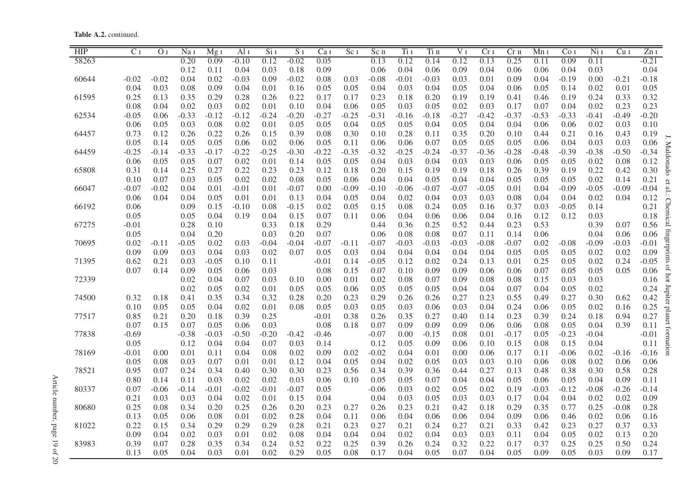Table A.2. continued.

| HIP   | C <sub>I</sub> | O <sub>I</sub> | Na I    | $\overline{M}$ g 1 | Al <sub>I</sub> | Si <sub>I</sub> | S <sub>I</sub> | Ca 1    | Sc <sub>I</sub> | Sc <sub>II</sub> | Ti I    | Tiп     | V 1     | Cr <sub>I</sub> | $Cr$ $n$ | Mn <sub>I</sub> | Co <sub>I</sub> | $Ni$ I  | Cu <sub>I</sub> | ZnI             |
|-------|----------------|----------------|---------|--------------------|-----------------|-----------------|----------------|---------|-----------------|------------------|---------|---------|---------|-----------------|----------|-----------------|-----------------|---------|-----------------|-----------------|
| 58263 |                |                | 0.20    | 0.09               | $-0.10$         | 0.12            | $-0.02$        | 0.05    |                 | 0.13             | 0.12    | 0.14    | 0.12    | 0.13            | 0.25     | 0.11            | 0.09            | 0.11    |                 | $-0.21$         |
|       |                |                | 0.12    | 0.11               | 0.04            | 0.03            | 0.18           | 0.09    |                 | 0.06             | 0.04    | 0.06    | 0.09    | 0.04            | 0.06     | 0.06            | 0.04            | 0.03    |                 | 0.04            |
| 60644 | $-0.02$        | $-0.02$        | 0.04    | 0.02               | $-0.03$         | 0.09            | $-0.02$        | 0.08    | 0.03            | $-0.08$          | $-0.01$ | $-0.03$ | 0.03    | 0.01            | 0.09     | 0.04            | $-0.19$         | 0.00    | $-0.21$         | $-0.18$         |
|       | 0.04           | 0.03           | 0.08    | 0.09               | 0.04            | 0.01            | 0.16           | 0.05    | 0.05            | 0.04             | 0.03    | 0.04    | 0.05    | 0.04            | 0.06     | 0.05            | 0.14            | 0.02    | 0.01            | 0.05            |
| 61595 | 0.25           | 0.13           | 0.35    | 0.29               | 0.28            | 0.26            | 0.22           | 0.17    | 0.17            | 0.23             | 0.18    | 0.20    | 0.19    | 0.19            | 0.41     | 0.46            | 0.19            | 0.24    | 0.33            | 0.32            |
|       | 0.08           | 0.04           | 0.02    | 0.03               | 0.02            | 0.01            | 0.10           | 0.04    | 0.06            | 0.05             | 0.03    | 0.05    | 0.02    | 0.03            | 0.17     | 0.07            | 0.04            | 0.02    | 0.23            | 0.23            |
| 62534 | $-0.05$        | 0.06           | $-0.33$ | $-0.12$            | $-0.12$         | $-0.24$         | $-0.20$        | $-0.27$ | $-0.25$         | $-0.31$          | $-0.16$ | $-0.18$ | $-0.27$ | $-0.42$         | $-0.37$  | $-0.53$         | $-0.33$         | $-0.41$ | $-0.49$         | $-0.20$         |
|       | 0.06           | 0.05           | 0.03    | 0.08               | 0.02            | 0.01            | 0.05           | 0.05    | 0.04            | 0.05             | 0.05    | 0.04    | 0.05    | 0.04            | 0.04     | 0.06            | 0.06            | 0.02    | 0.03            | 0.10            |
| 64457 | 0.73           | 0.12           | 0.26    | 0.22               | 0.26            | 0.15            | 0.39           | 0.08    | 0.30            | 0.10             | 0.28    | 0.11    | 0.35    | 0.20            | 0.10     | 0.44            | 0.21            | 0.16    | 0.43            | 0.19            |
|       | 0.05           | 0.14           | 0.05    | 0.05               | 0.06            | 0.02            | 0.06           | 0.05    | 0.11            | 0.06             | 0.06    | 0.07    | 0.05    | 0.05            | 0.05     | 0.06            | 0.04            | 0.03    | 0.03            | 0.06            |
| 64459 | $-0.25$        | $-0.14$        | $-0.33$ | $-0.17$            | $-0.22$         | $-0.25$         | $-0.30$        | $-0.22$ | $-0.35$         | $-0.32$          | $-0.25$ | $-0.24$ | $-0.37$ | $-0.36$         | $-0.28$  | $-0.48$         | $-0.39$         | $-0.38$ | $-0.50$         | $-0.34$         |
|       | 0.06           | 0.05           | 0.05    | 0.07               | 0.02            | 0.01            | 0.14           | 0.05    | 0.05            | 0.04             | 0.03    | 0.04    | 0.03    | 0.03            | 0.06     | 0.05            | 0.05            | 0.02    | 0.08            | 0.12            |
| 65808 | 0.31           | 0.14           | 0.25    | 0.27               | 0.22            | 0.23            | 0.23           | 0.12    | 0.18            | 0.20             | 0.15    | 0.19    | 0.19    | 0.18            | 0.26     | 0.39            | 0.19            | 0.22    | 0.42            | 0.30            |
|       | 0.10           | 0.07           | 0.03    | 0.05               | 0.02            | 0.02            | 0.08           | 0.05    | 0.06            | 0.04             | 0.04    | 0.05    | 0.04    | 0.04            | 0.05     | 0.05            | 0.05            | 0.02    | 0.14            | 0.21            |
| 66047 | $-0.07$        | $-0.02$        | 0.04    | 0.01               | $-0.01$         | 0.01            | $-0.07$        | 0.00    | $-0.09$         | $-0.10$          | $-0.06$ | $-0.07$ | $-0.07$ | $-0.05$         | 0.01     | 0.04            | $-0.09$         | $-0.05$ | $-0.09$         | $-0.04$         |
|       | 0.06           | 0.04           | 0.04    | 0.05               | 0.01            | 0.01            | 0.13           | 0.04    | 0.05            | 0.04             | 0.02    | 0.04    | 0.03    | 0.03            | 0.08     | 0.04            | 0.04            | 0.02    | 0.04            | 0.12            |
| 66192 | 0.06           |                | 0.09    | 0.15               | $-0.10$         | 0.08            | $-0.15$        | 0.02    | 0.05            | 0.15             | 0.08    | 0.24    | 0.05    | 0.16            | 0.37     | 0.03            | $-0.05$         | 0.14    |                 | 0.21            |
|       | 0.05           |                | 0.05    | 0.04               | 0.19            | 0.04            | 0.15           | 0.07    | 0.11            | 0.06             | 0.04    | 0.06    | 0.06    | 0.04            | 0.16     | 0.12            | 0.12            | 0.03    |                 | 0.18            |
| 67275 | $-0.01$        |                | 0.28    | 0.10               |                 | 0.33            | 0.18           | 0.29    |                 | 0.44             | 0.36    | 0.25    | 0.52    | 0.44            | 0.23     | 0.53            |                 | 0.39    | 0.07            | 0.56            |
|       | 0.05           |                | 0.04    | 0.20               |                 | 0.03            | 0.20           | 0.07    |                 | 0.06             | 0.08    | 0.08    | 0.07    | 0.11            | 0.14     | 0.06            |                 | 0.04    | 0.06            | 0.06            |
| 70695 | 0.02           | $-0.11$        | $-0.05$ | 0.02               | 0.03            | $-0.04$         | $-0.04$        | $-0.07$ | $-0.11$         | $-0.07$          | $-0.03$ | $-0.03$ | $-0.03$ | $-0.08$         | $-0.07$  | 0.02            | $-0.08$         | $-0.09$ | $-0.03$         | iooi<br>$-0.01$ |
|       | 0.09           | 0.09           | 0.03    | 0.04               | 0.03            | 0.02            | 0.07           | 0.05    | 0.03            | 0.04             | 0.04    | 0.04    | 0.04    | 0.04            | 0.05     | 0.05            | 0.05            | 0.02    | 0.02            | 0.09            |
| 71395 | 0.62           | 0.21           | 0.03    | $-0.05$            | 0.10            | 0.11            |                | $-0.01$ | 0.14            | $-0.05$          | 0.12    | 0.02    | 0.24    | 0.13            | 0.01     | 0.25            | 0.05            | 0.02    | 0.24            | $-0.05$         |
|       | 0.07           | 0.14           | 0.09    | 0.05               | 0.06            | 0.03            |                | 0.08    | 0.15            | 0.07             | 0.10    | 0.09    | 0.09    | 0.06            | 0.06     | 0.07            | 0.05            | 0.05    | 0.05            | 0.06            |
| 72339 |                |                | 0.02    | 0.04               | 0.07            | 0.03            | 0.10           | 0.00    | 0.01            | 0.02             | 0.08    | 0.07    | 0.09    | 0.08            | 0.08     | 0.15            | 0.03            | 0.03    |                 | 0.16            |
|       |                |                | 0.02    | 0.05               | 0.02            | 0.01            | 0.05           | 0.05    | 0.06            | 0.05             | 0.05    | 0.05    | 0.04    | 0.04            | 0.07     | 0.04            | 0.05            | 0.02    |                 | 0.24            |
| 74500 | 0.32           | 0.18           | 0.41    | 0.35               | 0.34            | 0.32            | 0.28           | 0.20    | 0.23            | 0.29             | 0.26    | 0.26    | 0.27    | 0.23            | 0.55     | 0.49            | 0.27            | 0.30    | 0.62            | 0.42            |
|       | 0.10           | 0.05           | 0.05    | 0.04               | 0.02            | 0.01            | 0.08           | 0.05    | 0.03            | 0.05             | 0.03    | 0.06    | 0.03    | 0.04            | 0.24     | 0.06            | 0.05            | 0.02    | 0.16            | 0.25            |
| 77517 | 0.85           | 0.21           | 0.20    | 0.18               | 0.39            | 0.25            |                | $-0.01$ | 0.38            | 0.26             | 0.35    | 0.27    | 0.40    | 0.14            | 0.23     | 0.39            | 0.24            | 0.18    | 0.94            | 0.27            |
|       | 0.07           | 0.15           | 0.07    | 0.05               | 0.06            | 0.03            |                | 0.08    | 0.18            | 0.07             | 0.09    | 0.09    | 0.09    | 0.06            | 0.06     | 0.08            | 0.05            | 0.04    | 0.39            | 0.11            |
| 77838 | $-0.69$        |                | $-0.38$ | $-0.03$            | $-0.50$         | $-0.20$         | $-0.42$        | $-0.46$ |                 | $-0.07$          | 0.00    | $-0.15$ | 0.08    | 0.01            | $-0.17$  | 0.05            | $-0.23$         | $-0.04$ |                 | $-0.01$         |
|       | 0.05           |                | 0.12    | 0.04               | 0.04            | 0.07            | 0.03           | 0.14    |                 | 0.12             | 0.05    | 0.09    | 0.06    | 0.10            | 0.15     | 0.08            | 0.15            | 0.04    |                 | 0.11            |
| 78169 | $-0.01$        | 0.00           | 0.01    | 0.11               | 0.04            | 0.08            | 0.02           | 0.09    | 0.02            | $-0.02$          | 0.04    | 0.01    | 0.00    | 0.06            | 0.17     | 0.11            | $-0.06$         | 0.02    | $-0.16$         | $-0.16$         |
|       | 0.05           | 0.08           | 0.03    | 0.07               | 0.01            | 0.01            | 0.12           | 0.04    | 0.05            | 0.04             | 0.02    | 0.05    | 0.03    | 0.03            | 0.10     | 0.06            | 0.08            | 0.02    | 0.06            | 0.06            |
| 78521 | 0.95           | 0.07           | 0.24    | 0.34               | 0.40            | 0.30            | 0.30           | 0.23    | 0.56            | 0.34             | 0.39    | 0.36    | 0.44    | 0.27            | 0.13     | 0.48            | 0.38            | 0.30    | 0.58            | 0.28            |
|       | 0.80           | 0.14           | 0.11    | 0.03               | 0.02            | 0.02            | 0.03           | 0.06    | 0.10            | 0.05             | 0.05    | 0.07    | 0.04    | 0.04            | 0.05     | 0.06            | 0.05            | 0.04    | 0.09            | 0.11            |
| 80337 | 0.07           | $-0.06$        | $-0.14$ | $-0.01$            | $-0.02$         | $-0.01$         | $-0.07$        | 0.05    |                 | $-0.06$          | 0.03    | 0.02    | 0.05    | 0.02            | 0.19     | $-0.03$         | $-0.12$         | $-0.08$ | $-0.26$         | $-0.14$         |
|       | 0.21           | 0.03           | 0.03    | 0.04               | 0.02            | 0.01            | 0.15           | 0.04    |                 | 0.04             | 0.03    | 0.05    | 0.03    | 0.03            | 0.17     | 0.04            | 0.04            | 0.02    | 0.02            | 0.09            |
| 80680 | 0.25           | 0.08           | 0.34    | 0.20               | 0.25            | 0.26            | 0.20           | 0.23    | 0.27            | 0.26             | 0.23    | 0.21    | 0.42    | 0.18            | 0.29     | 0.35            | 0.77            | 0.25    | $-0.08$         | 0.28            |
|       | 0.13           | 0.05           | 0.06    | 0.08               | 0.01            | 0.02            | 0.28           | 0.04    | 0.11            | 0.06             | 0.04    | 0.06    | 0.06    | 0.04            | 0.09     | 0.06            | 0.46            | 0.02    | 0.06            | 0.16            |
| 81022 | 0.22           | 0.15           | 0.34    | 0.29               | 0.29            | 0.29            | 0.28           | 0.21    | 0.23            | 0.27             | 0.21    | 0.24    | 0.27    | 0.21            | 0.33     | 0.42            | 0.23            | 0.27    | 0.37            | 0.33            |
|       | 0.09           | 0.04           | 0.02    | 0.03               | 0.01            | 0.02            | 0.08           | 0.04    | 0.04            | 0.04             | 0.02    | 0.04    | 0.03    | 0.03            | 0.11     | 0.04            | 0.05            | 0.02    | 0.13            | 0.20            |
| 83983 | 0.39           | 0.07           | 0.28    | 0.35               | 0.34            | 0.24            | 0.52           | 0.22    | 0.25            | 0.39             | 0.26    | 0.24    | 0.32    | 0.22            | 0.17     | 0.37            | 0.25            | 0.25    | 0.50            | 0.24            |
|       | 0.13           | 0.05           | 0.04    | 0.03               | 0.01            | 0.02            | 0.29           | 0.05    | 0.08            | 0.17             | 0.04    | 0.05    | 0.07    | 0.04            | 0.05     | 0.09            | 0.05            | 0.03    | 0.09            | 0.17            |

Article number, page 19 of 20 Article number, page 19 of 20